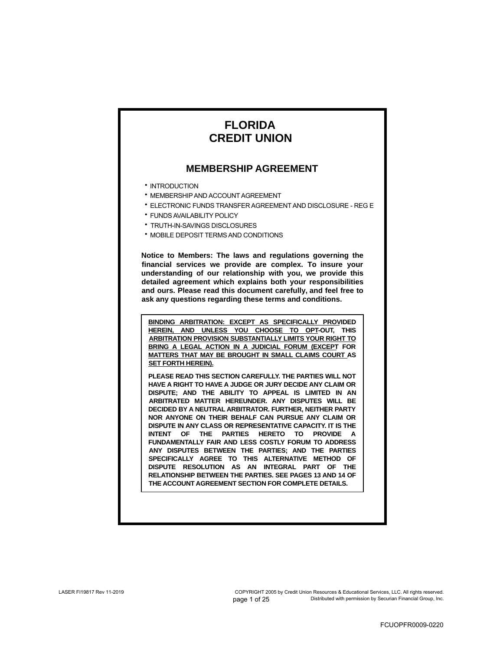# **FLORIDA CREDIT UNION**

## **MEMBERSHIP AGREEMENT**

- INTRODUCTION
- **MEMBERSHIP AND ACCOUNT AGREEMENT**
- ELECTRONIC FUNDS TRANSFER AGREEMENT AND DISCLOSURE REG E •
- **FUNDS AVAILABILITY POLICY**
- TRUTH-IN-SAVINGS DISCLOSURES •
- **MOBILE DEPOSIT TERMS AND CONDITIONS**

**Notice to Members: The laws and regulations governing the financial services we provide are complex. To insure your understanding of our relationship with you, we provide this detailed agreement which explains both your responsibilities and ours. Please read this document carefully, and feel free to ask any questions regarding these terms and conditions.**

**BINDING ARBITRATION: EXCEPT AS SPECIFICALLY PROVIDED HEREIN, AND UNLESS YOU CHOOSE TO OPT-OUT, THIS ARBITRATION PROVISION SUBSTANTIALLY LIMITS YOUR RIGHT TO BRING A LEGAL ACTION IN A JUDICIAL FORUM (EXCEPT FOR MATTERS THAT MAY BE BROUGHT IN SMALL CLAIMS COURT AS SET FORTH HEREIN).**

**PLEASE READ THIS SECTION CAREFULLY. THE PARTIES WILL NOT HAVE A RIGHT TO HAVE A JUDGE OR JURY DECIDE ANY CLAIM OR DISPUTE; AND THE ABILITY TO APPEAL IS LIMITED IN AN ARBITRATED MATTER HEREUNDER. ANY DISPUTES WILL BE DECIDED BY A NEUTRAL ARBITRATOR. FURTHER, NEITHER PARTY NOR ANYONE ON THEIR BEHALF CAN PURSUE ANY CLAIM OR DISPUTE IN ANY CLASS OR REPRESENTATIVE CAPACITY. IT IS THE INTENT OF THE PARTIES HERETO TO PROVIDE A FUNDAMENTALLY FAIR AND LESS COSTLY FORUM TO ADDRESS ANY DISPUTES BETWEEN THE PARTIES; AND THE PARTIES SPECIFICALLY AGREE TO THIS ALTERNATIVE METHOD OF DISPUTE RESOLUTION AS AN INTEGRAL PART OF THE RELATIONSHIP BETWEEN THE PARTIES. SEE PAGES 13 AND 14 OF THE ACCOUNT AGREEMENT SECTION FOR COMPLETE DETAILS.**

page 1 of 25 COPYRIGHT 2005 by Credit Union Resources & Educational Services, LLC. All rights reserved. Distributed with permission by Securian Financial Group, Inc.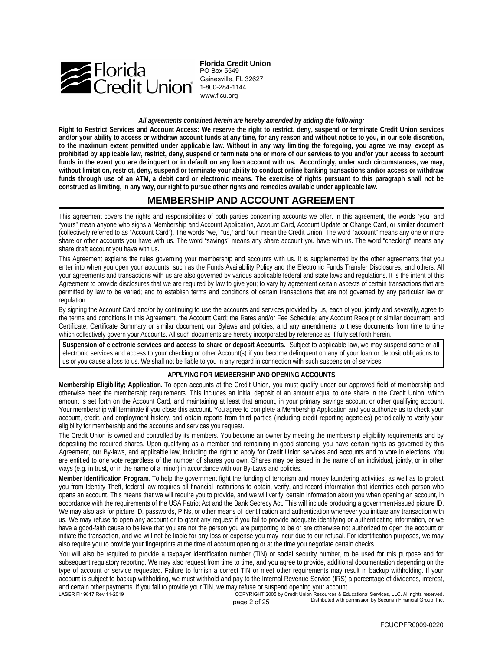

**Florida Credit Union** PO Box 5549 Gainesville, FL 32627 www.flcu.org

*All agreements contained herein are hereby amended by adding the following:*

**Right to Restrict Services and Account Access: We reserve the right to restrict, deny, suspend or terminate Credit Union services and/or your ability to access or withdraw account funds at any time, for any reason and without notice to you, in our sole discretion, to the maximum extent permitted under applicable law. Without in any way limiting the foregoing, you agree we may, except as prohibited by applicable law, restrict, deny, suspend or terminate one or more of our services to you and/or your access to account funds in the event you are delinquent or in default on any loan account with us. Accordingly, under such circumstances, we may, without limitation, restrict, deny, suspend or terminate your ability to conduct online banking transactions and/or access or withdraw funds through use of an ATM, a debit card or electronic means. The exercise of rights pursuant to this paragraph shall not be construed as limiting, in any way, our right to pursue other rights and remedies available under applicable law.**

## **MEMBERSHIP AND ACCOUNT AGREEMENT**

This agreement covers the rights and responsibilities of both parties concerning accounts we offer. In this agreement, the words "you" and "yours" mean anyone who signs a Membership and Account Application, Account Card, Account Update or Change Card, or similar document (collectively referred to as "Account Card"). The words "we," "us," and "our" mean the Credit Union. The word "account" means any one or more share or other accounts you have with us. The word "savings" means any share account you have with us. The word "checking" means any share draft account you have with us.

This Agreement explains the rules governing your membership and accounts with us. It is supplemented by the other agreements that you enter into when you open your accounts, such as the Funds Availability Policy and the Electronic Funds Transfer Disclosures, and others. All your agreements and transactions with us are also governed by various applicable federal and state laws and regulations. It is the intent of this Agreement to provide disclosures that we are required by law to give you; to vary by agreement certain aspects of certain transactions that are permitted by law to be varied; and to establish terms and conditions of certain transactions that are not governed by any particular law or regulation.

By signing the Account Card and/or by continuing to use the accounts and services provided by us, each of you, jointly and severally, agree to the terms and conditions in this Agreement, the Account Card; the Rates and/or Fee Schedule; any Account Receipt or similar document; and Certificate, Certificate Summary or similar document; our Bylaws and policies; and any amendments to these documents from time to time which collectively govern your Accounts. All such documents are hereby incorporated by reference as if fully set forth herein.

**Suspension of electronic services and access to share or deposit Accounts.** Subject to applicable law, we may suspend some or all electronic services and access to your checking or other Account(s) if you become delinquent on any of your loan or deposit obligations to us or you cause a loss to us. We shall not be liable to you in any regard in connection with such suspension of services.

### **APPLYING FOR MEMBERSHIP AND OPENING ACCOUNTS**

**Membership Eligibility; Application.** To open accounts at the Credit Union, you must qualify under our approved field of membership and otherwise meet the membership requirements. This includes an initial deposit of an amount equal to one share in the Credit Union, which amount is set forth on the Account Card, and maintaining at least that amount, in your primary savings account or other qualifying account. Your membership will terminate if you close this account. You agree to complete a Membership Application and you authorize us to check your account, credit, and employment history, and obtain reports from third parties (including credit reporting agencies) periodically to verify your eligibility for membership and the accounts and services you request.

The Credit Union is owned and controlled by its members. You become an owner by meeting the membership eligibility requirements and by depositing the required shares. Upon qualifying as a member and remaining in good standing, you have certain rights as governed by this Agreement, our By-laws, and applicable law, including the right to apply for Credit Union services and accounts and to vote in elections. You are entitled to one vote regardless of the number of shares you own. Shares may be issued in the name of an individual, jointly, or in other ways (e.g. in trust, or in the name of a minor) in accordance with our By-Laws and policies.

**Member Identification Program.** To help the government fight the funding of terrorism and money laundering activities, as well as to protect you from Identity Theft, federal law requires all financial institutions to obtain, verify, and record information that identities each person who opens an account. This means that we will require you to provide, and we will verify, certain information about you when opening an account, in accordance with the requirements of the USA Patriot Act and the Bank Secrecy Act. This will include producing a government-issued picture ID. We may also ask for picture ID, passwords, PINs, or other means of identification and authentication whenever you initiate any transaction with us. We may refuse to open any account or to grant any request if you fail to provide adequate identifying or authenticating information, or we have a good-faith cause to believe that you are not the person you are purporting to be or are otherwise not authorized to open the account or initiate the transaction, and we will not be liable for any loss or expense you may incur due to our refusal. For identification purposes, we may also require you to provide your fingerprints at the time of account opening or at the time you negotiate certain checks.

LASER FI19817 Rev 11-2019 COPYRIGHT 2005 by Credit Union Resources & Educational Services, LLC. All rights reserved.<br>ארבה O of 25 - Distributed with permission by Securian Financial Group, Inc. You will also be required to provide a taxpayer identification number (TIN) or social security number, to be used for this purpose and for subsequent regulatory reporting. We may also request from time to time, and you agree to provide, additional documentation depending on the type of account or service requested. Failure to furnish a correct TIN or meet other requirements may result in backup withholding. If your account is subject to backup withholding, we must withhold and pay to the Internal Revenue Service (IRS) a percentage of dividends, interest, and certain other payments. If you fail to provide your TIN, we may refuse or suspend opening your account.

page 2 of 25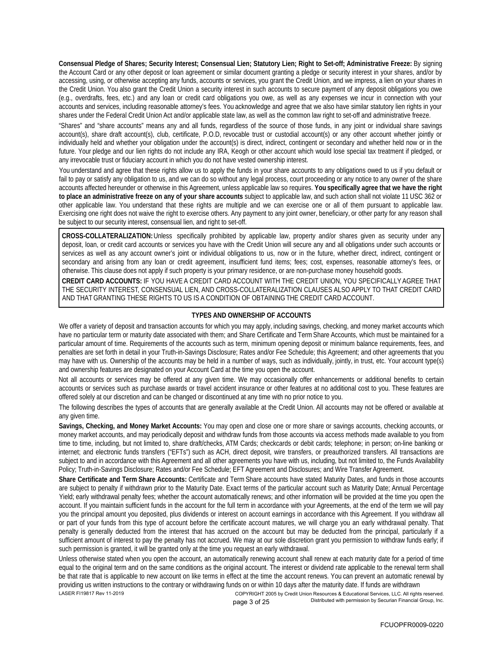**Consensual Pledge of Shares; Security Interest; Consensual Lien; Statutory Lien; Right to Set-off; Administrative Freeze:** By signing the Account Card or any other deposit or loan agreement or similar document granting a pledge or security interest in your shares, and/or by accessing, using, or otherwise accepting any funds, accounts or services, you grant the Credit Union, and we impress, a lien on your shares in the Credit Union. You also grant the Credit Union a security interest in such accounts to secure payment of any deposit obligations you owe (e.g., overdrafts, fees, etc.) and any loan or credit card obligations you owe, as well as any expenses we incur in connection with your accounts and services, including reasonable attorney's fees. You acknowledge and agree that we also have similar statutory lien rights in your shares under the Federal Credit Union Act and/or applicable state law, as well as the common law right to set-off and administrative freeze.

"Shares" and "share accounts" means any and all funds, regardless of the source of those funds, in any joint or individual share savings account(s), share draft account(s), club, certificate, P.O.D, revocable trust or custodial account(s) or any other account whether jointly or individually held and whether your obligation under the account(s) is direct, indirect, contingent or secondary and whether held now or in the future. Your pledge and our lien rights do not include any IRA, Keogh or other account which would lose special tax treatment if pledged, or any irrevocable trust or fiduciary account in which you do not have vested ownership interest.

You understand and agree that these rights allow us to apply the funds in your share accounts to any obligations owed to us if you default or fail to pay or satisfy any obligation to us, and we can do so without any legal process, court proceeding or any notice to any owner of the share accounts affected hereunder or otherwise in this Agreement, unless applicable law so requires. **You specifically agree that we have the right to place an administrative freeze on any of your share accounts** subject to applicable law, and such action shall not violate 11 USC 362 or other applicable law. You understand that these rights are multiple and we can exercise one or all of them pursuant to applicable law. Exercising one right does not waive the right to exercise others. Any payment to any joint owner, beneficiary, or other party for any reason shall be subject to our security interest, consensual lien, and right to set-off.

**CROSS-COLLATERALIZATION:** Unless specifically prohibited by applicable law, property and/or shares given as security under any deposit, loan, or credit card accounts or services you have with the Credit Union will secure any and all obligations under such accounts or services as well as any account owner's joint or individual obligations to us, now or in the future, whether direct, indirect, contingent or secondary and arising from any loan or credit agreement, insufficient fund items; fees; cost, expenses, reasonable attorney's fees, or otherwise. This clause does not apply if such property is your primary residence, or are non-purchase money household goods.

**CREDIT CARD ACCOUNTS:** IF YOU HAVE A CREDIT CARD ACCOUNT WITH THE CREDIT UNION, YOU SPECIFICALLY AGREE THAT THE SECURITY INTEREST, CONSENSUAL LIEN, AND CROSS-COLLATERALIZATION CLAUSES ALSO APPLY TO THAT CREDIT CARD AND THAT GRANTING THESE RIGHTS TO US IS A CONDITION OF OBTAINING THE CREDIT CARD ACCOUNT.

### **TYPES AND OWNERSHIP OF ACCOUNTS**

We offer a variety of deposit and transaction accounts for which you may apply, including savings, checking, and money market accounts which have no particular term or maturity date associated with them; and Share Certificate and Term Share Accounts, which must be maintained for a particular amount of time. Requirements of the accounts such as term, minimum opening deposit or minimum balance requirements, fees, and penalties are set forth in detail in your Truth-in-Savings Disclosure; Rates and/or Fee Schedule; this Agreement; and other agreements that you may have with us. Ownership of the accounts may be held in a number of ways, such as individually, jointly, in trust, etc. Your account type(s) and ownership features are designated on your Account Card at the time you open the account.

Not all accounts or services may be offered at any given time. We may occasionally offer enhancements or additional benefits to certain accounts or services such as purchase awards or travel accident insurance or other features at no additional cost to you. These features are offered solely at our discretion and can be changed or discontinued at any time with no prior notice to you.

The following describes the types of accounts that are generally available at the Credit Union. All accounts may not be offered or available at any given time.

**Savings, Checking, and Money Market Accounts:** You may open and close one or more share or savings accounts, checking accounts, or money market accounts, and may periodically deposit and withdraw funds from those accounts via access methods made available to you from time to time, including, but not limited to, share draft/checks, ATM Cards; checkcards or debit cards; telephone; in person; on-line banking or internet; and electronic funds transfers ("EFTs") such as ACH, direct deposit, wire transfers, or preauthorized transfers. All transactions are subject to and in accordance with this Agreement and all other agreements you have with us, including, but not limited to, the Funds Availability Policy; Truth-in-Savings Disclosure; Rates and/or Fee Schedule; EFT Agreement and Disclosures; and Wire Transfer Agreement.

**Share Certificate and Term Share Accounts:** Certificate and Term Share accounts have stated Maturity Dates, and funds in those accounts are subject to penalty if withdrawn prior to the Maturity Date. Exact terms of the particular account such as Maturity Date; Annual Percentage Yield; early withdrawal penalty fees; whether the account automatically renews; and other information will be provided at the time you open the account. If you maintain sufficient funds in the account for the full term in accordance with your Agreements, at the end of the term we will pay you the principal amount you deposited, plus dividends or interest on account earnings in accordance with this Agreement. If you withdraw all or part of your funds from this type of account before the certificate account matures, we will charge you an early withdrawal penalty. That penalty is generally deducted from the interest that has accrued on the account but may be deducted from the principal, particularly if a sufficient amount of interest to pay the penalty has not accrued. We may at our sole discretion grant you permission to withdraw funds early; if such permission is granted, it will be granted only at the time you request an early withdrawal.

Unless otherwise stated when you open the account, an automatically renewing account shall renew at each maturity date for a period of time equal to the original term and on the same conditions as the original account. The interest or dividend rate applicable to the renewal term shall be that rate that is applicable to new account on like terms in effect at the time the account renews. You can prevent an automatic renewal by providing us written instructions to the contrary or withdrawing funds on or within 10 days after the maturity date. If funds are withdrawn LASER FI19817 Rev 11-2019 COPYRIGHT 2005 by Credit Union Resources & Educational Services, LLC. All rights reserved.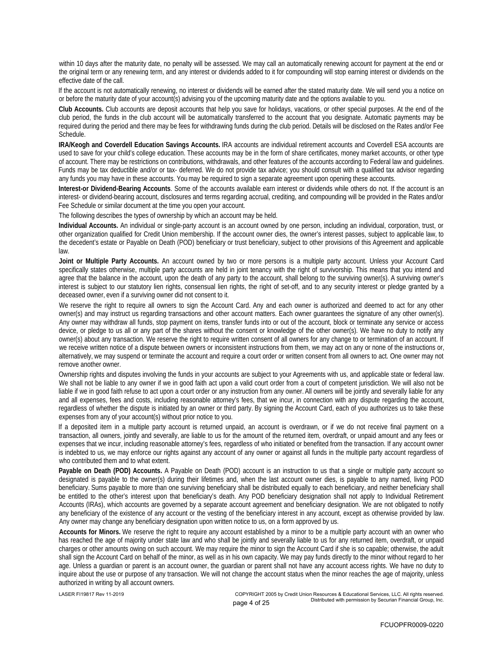within 10 days after the maturity date, no penalty will be assessed. We may call an automatically renewing account for payment at the end or the original term or any renewing term, and any interest or dividends added to it for compounding will stop earning interest or dividends on the effective date of the call.

If the account is not automatically renewing, no interest or dividends will be earned after the stated maturity date. We will send you a notice on or before the maturity date of your account(s) advising you of the upcoming maturity date and the options available to you.

**Club Accounts.** Club accounts are deposit accounts that help you save for holidays, vacations, or other special purposes. At the end of the club period, the funds in the club account will be automatically transferred to the account that you designate. Automatic payments may be required during the period and there may be fees for withdrawing funds during the club period. Details will be disclosed on the Rates and/or Fee Schedule.

**IRA/Keogh and Coverdell Education Savings Accounts.** IRA accounts are individual retirement accounts and Coverdell ESA accounts are used to save for your child's college education. These accounts may be in the form of share certificates, money market accounts, or other type of account. There may be restrictions on contributions, withdrawals, and other features of the accounts according to Federal law and guidelines. Funds may be tax deductible and/or or tax- deferred. We do not provide tax advice; you should consult with a qualified tax advisor regarding any funds you may have in these accounts. You may be required to sign a separate agreement upon opening these accounts.

**Interest-or Dividend-Bearing Accounts**. Some of the accounts available earn interest or dividends while others do not. If the account is an interest- or dividend-bearing account, disclosures and terms regarding accrual, crediting, and compounding will be provided in the Rates and/or Fee Schedule or similar document at the time you open your account.

The following describes the types of ownership by which an account may be held.

**Individual Accounts.** An individual or single-party account is an account owned by one person, including an individual, corporation, trust, or other organization qualified for Credit Union membership. If the account owner dies, the owner's interest passes, subject to applicable law, to the decedent's estate or Payable on Death (POD) beneficiary or trust beneficiary, subject to other provisions of this Agreement and applicable law.

**Joint or Multiple Party Accounts.** An account owned by two or more persons is a multiple party account. Unless your Account Card specifically states otherwise, multiple party accounts are held in joint tenancy with the right of survivorship. This means that you intend and agree that the balance in the account, upon the death of any party to the account, shall belong to the surviving owner(s). A surviving owner's interest is subject to our statutory lien rights, consensual lien rights, the right of set-off, and to any security interest or pledge granted by a deceased owner, even if a surviving owner did not consent to it.

We reserve the right to require all owners to sign the Account Card. Any and each owner is authorized and deemed to act for any other owner(s) and may instruct us regarding transactions and other account matters. Each owner guarantees the signature of any other owner(s). Any owner may withdraw all funds, stop payment on items, transfer funds into or out of the account, block or terminate any service or access device, or pledge to us all or any part of the shares without the consent or knowledge of the other owner(s). We have no duty to notify any owner(s) about any transaction. We reserve the right to require written consent of all owners for any change to or termination of an account. If we receive written notice of a dispute between owners or inconsistent instructions from them, we may act on any or none of the instructions or, alternatively, we may suspend or terminate the account and require a court order or written consent from all owners to act. One owner may not remove another owner.

Ownership rights and disputes involving the funds in your accounts are subject to your Agreements with us, and applicable state or federal law. We shall not be liable to any owner if we in good faith act upon a valid court order from a court of competent jurisdiction. We will also not be liable if we in good faith refuse to act upon a court order or any instruction from any owner. All owners will be jointly and severally liable for any and all expenses, fees and costs, including reasonable attorney's fees, that we incur, in connection with any dispute regarding the account, regardless of whether the dispute is initiated by an owner or third party. By signing the Account Card, each of you authorizes us to take these expenses from any of your account(s) without prior notice to you.

If a deposited item in a multiple party account is returned unpaid, an account is overdrawn, or if we do not receive final payment on a transaction, all owners, jointly and severally, are liable to us for the amount of the returned item, overdraft, or unpaid amount and any fees or expenses that we incur, including reasonable attorney's fees, regardless of who initiated or benefited from the transaction. If any account owner is indebted to us, we may enforce our rights against any account of any owner or against all funds in the multiple party account regardless of who contributed them and to what extent.

**Payable on Death (POD) Accounts.** A Payable on Death (POD) account is an instruction to us that a single or multiple party account so designated is payable to the owner(s) during their lifetimes and, when the last account owner dies, is payable to any named, living POD beneficiary. Sums payable to more than one surviving beneficiary shall be distributed equally to each beneficiary, and neither beneficiary shall be entitled to the other's interest upon that beneficiary's death. Any POD beneficiary designation shall not apply to Individual Retirement Accounts (IRAs), which accounts are governed by a separate account agreement and beneficiary designation. We are not obligated to notify any beneficiary of the existence of any account or the vesting of the beneficiary interest in any account, except as otherwise provided by law. Any owner may change any beneficiary designation upon written notice to us, on a form approved by us.

**Accounts for Minors.** We reserve the right to require any account established by a minor to be a multiple party account with an owner who has reached the age of majority under state law and who shall be jointly and severally liable to us for any returned item, overdraft, or unpaid charges or other amounts owing on such account. We may require the minor to sign the Account Card if she is so capable; otherwise, the adult shall sign the Account Card on behalf of the minor, as well as in his own capacity. We may pay funds directly to the minor without regard to her age. Unless a guardian or parent is an account owner, the guardian or parent shall not have any account access rights. We have no duty to inquire about the use or purpose of any transaction. We will not change the account status when the minor reaches the age of majority, unless authorized in writing by all account owners.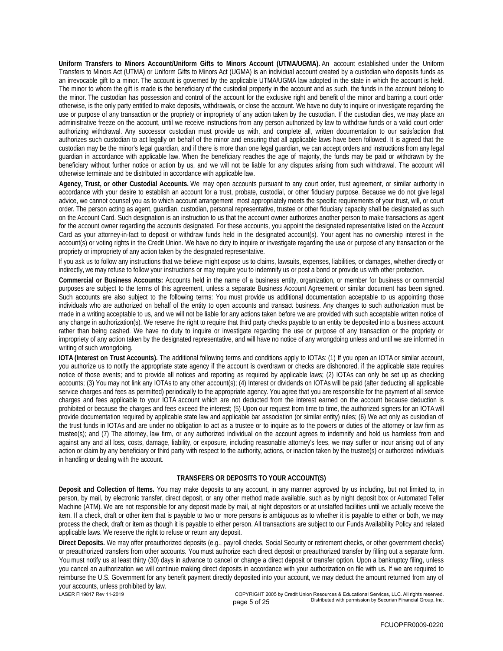**Uniform Transfers to Minors Account/Uniform Gifts to Minors Account (UTMA/UGMA).** An account established under the Uniform Transfers to Minors Act (UTMA) or Uniform Gifts to Minors Act (UGMA) is an individual account created by a custodian who deposits funds as an irrevocable gift to a minor. The account is governed by the applicable UTMA/UGMA law adopted in the state in which the account is held. The minor to whom the gift is made is the beneficiary of the custodial property in the account and as such, the funds in the account belong to the minor. The custodian has possession and control of the account for the exclusive right and benefit of the minor and barring a court order otherwise, is the only party entitled to make deposits, withdrawals, or close the account. We have no duty to inquire or investigate regarding the use or purpose of any transaction or the propriety or impropriety of any action taken by the custodian. If the custodian dies, we may place an administrative freeze on the account, until we receive instructions from any person authorized by law to withdraw funds or a valid court order authorizing withdrawal. Any successor custodian must provide us with, and complete all, written documentation to our satisfaction that authorizes such custodian to act legally on behalf of the minor and ensuring that all applicable laws have been followed. It is agreed that the custodian may be the minor's legal guardian, and if there is more than one legal guardian, we can accept orders and instructions from any legal guardian in accordance with applicable law. When the beneficiary reaches the age of majority, the funds may be paid or withdrawn by the beneficiary without further notice or action by us, and we will not be liable for any disputes arising from such withdrawal. The account will otherwise terminate and be distributed in accordance with applicable law.

**Agency, Trust, or other Custodial Accounts.** We may open accounts pursuant to any court order, trust agreement, or similar authority in accordance with your desire to establish an account for a trust, probate, custodial, or other fiduciary purpose. Because we do not give legal advice, we cannot counsel you as to which account arrangement most appropriately meets the specific requirements of your trust, will, or court order. The person acting as agent, guardian, custodian, personal representative, trustee or other fiduciary capacity shall be designated as such on the Account Card. Such designation is an instruction to us that the account owner authorizes another person to make transactions as agent for the account owner regarding the accounts designated. For these accounts, you appoint the designated representative listed on the Account Card as your attorney-in-fact to deposit or withdraw funds held in the designated account(s). Your agent has no ownership interest in the account(s) or voting rights in the Credit Union. We have no duty to inquire or investigate regarding the use or purpose of any transaction or the propriety or impropriety of any action taken by the designated representative.

If you ask us to follow any instructions that we believe might expose us to claims, lawsuits, expenses, liabilities, or damages, whether directly or indirectly, we may refuse to follow your instructions or may require you to indemnify us or post a bond or provide us with other protection.

**Commercial or Business Accounts:** Accounts held in the name of a business entity, organization, or member for business or commercial purposes are subject to the terms of this agreement, unless a separate Business Account Agreement or similar document has been signed. Such accounts are also subject to the following terms: You must provide us additional documentation acceptable to us appointing those individuals who are authorized on behalf of the entity to open accounts and transact business. Any changes to such authorization must be made in a writing acceptable to us, and we will not be liable for any actions taken before we are provided with such acceptable written notice of any change in authorization(s). We reserve the right to require that third party checks payable to an entity be deposited into a business account rather than being cashed. We have no duty to inquire or investigate regarding the use or purpose of any transaction or the propriety or impropriety of any action taken by the designated representative, and will have no notice of any wrongdoing unless and until we are informed in writing of such wrongdoing.

**IOTA (Interest on Trust Accounts).** The additional following terms and conditions apply to IOTAs: (1) If you open an IOTA or similar account, you authorize us to notify the appropriate state agency if the account is overdrawn or checks are dishonored, if the applicable state requires notice of those events; and to provide all notices and reporting as required by applicable laws; (2) IOTAs can only be set up as checking accounts; (3) You may not link any IOTAs to any other account(s); (4) Interest or dividends on IOTAs will be paid (after deducting all applicable service charges and fees as permitted) periodically to the appropriate agency. You agree that you are responsible for the payment of all service charges and fees applicable to your IOTA account which are not deducted from the interest earned on the account because deduction is prohibited or because the charges and fees exceed the interest; (5) Upon our request from time to time, the authorized signers for an IOTA will provide documentation required by applicable state law and applicable bar association (or similar entity) rules; (6) We act only as custodian of the trust funds in IOTAs and are under no obligation to act as a trustee or to inquire as to the powers or duties of the attorney or law firm as trustee(s); and (7) The attorney, law firm, or any authorized individual on the account agrees to indemnify and hold us harmless from and against any and all loss, costs, damage, liability, or exposure, including reasonable attorney's fees, we may suffer or incur arising out of any action or claim by any beneficiary or third party with respect to the authority, actions, or inaction taken by the trustee(s) or authorized individuals in handling or dealing with the account.

### **TRANSFERS OR DEPOSITS TO YOUR ACCOUNT(S)**

**Deposit and Collection of Items.** You may make deposits to any account, in any manner approved by us including, but not limited to, in person, by mail, by electronic transfer, direct deposit, or any other method made available, such as by night deposit box or Automated Teller Machine (ATM). We are not responsible for any deposit made by mail, at night depositors or at unstaffed facilities until we actually receive the item. If a check, draft or other item that is payable to two or more persons is ambiguous as to whether it is payable to either or both, we may process the check, draft or item as though it is payable to either person. All transactions are subject to our Funds Availability Policy and related applicable laws. We reserve the right to refuse or return any deposit.

**Direct Deposits.** We may offer preauthorized deposits (e.g., payroll checks, Social Security or retirement checks, or other government checks) or preauthorized transfers from other accounts. You must authorize each direct deposit or preauthorized transfer by filling out a separate form. You must notify us at least thirty (30) days in advance to cancel or change a direct deposit or transfer option. Upon a bankruptcy filing, unless you cancel an authorization we will continue making direct deposits in accordance with your authorization on file with us. If we are required to reimburse the U.S. Government for any benefit payment directly deposited into your account, we may deduct the amount returned from any of your accounts, unless prohibited by law.

LASER FI19817 Rev 11-2019 COPYRIGHT 2005 by Credit Union Resources & Educational Services, LLC. All rights reserved. page 5 of 25 **Distributed with permission by Securian Financial Group, Inc.**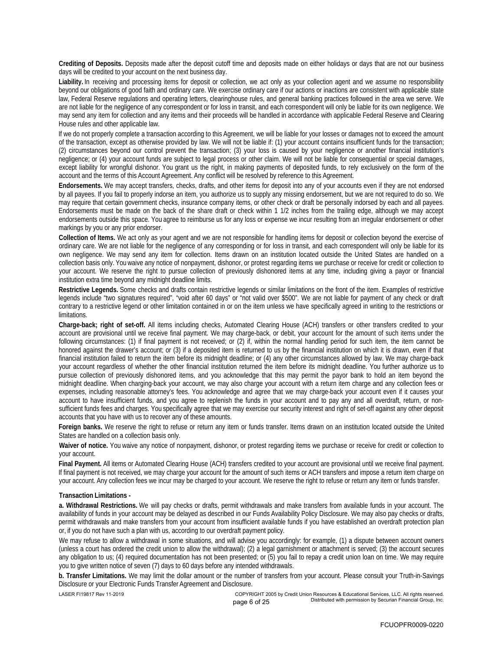**Crediting of Deposits.** Deposits made after the deposit cutoff time and deposits made on either holidays or days that are not our business days will be credited to your account on the next business day.

**Liability.** In receiving and processing items for deposit or collection, we act only as your collection agent and we assume no responsibility beyond our obligations of good faith and ordinary care. We exercise ordinary care if our actions or inactions are consistent with applicable state law, Federal Reserve regulations and operating letters, clearinghouse rules, and general banking practices followed in the area we serve. We are not liable for the negligence of any correspondent or for loss in transit, and each correspondent will only be liable for its own negligence. We may send any item for collection and any items and their proceeds will be handled in accordance with applicable Federal Reserve and Clearing House rules and other applicable law.

If we do not properly complete a transaction according to this Agreement, we will be liable for your losses or damages not to exceed the amount of the transaction, except as otherwise provided by law. We will not be liable if: (1) your account contains insufficient funds for the transaction; (2) circumstances beyond our control prevent the transaction; (3) your loss is caused by your negligence or another financial institution's negligence; or (4) your account funds are subject to legal process or other claim. We will not be liable for consequential or special damages, except liability for wrongful dishonor. You grant us the right, in making payments of deposited funds, to rely exclusively on the form of the account and the terms of this Account Agreement. Any conflict will be resolved by reference to this Agreement.

**Endorsements.** We may accept transfers, checks, drafts, and other items for deposit into any of your accounts even if they are not endorsed by all payees. If you fail to properly indorse an item, you authorize us to supply any missing endorsement, but we are not required to do so. We may require that certain government checks, insurance company items, or other check or draft be personally indorsed by each and all payees. Endorsements must be made on the back of the share draft or check within 1 1/2 inches from the trailing edge, although we may accept endorsements outside this space. You agree to reimburse us for any loss or expense we incur resulting from an irregular endorsement or other markings by you or any prior endorser.

**Collection of Items.** We act only as your agent and we are not responsible for handling items for deposit or collection beyond the exercise of ordinary care. We are not liable for the negligence of any corresponding or for loss in transit, and each correspondent will only be liable for its own negligence. We may send any item for collection. Items drawn on an institution located outside the United States are handled on a collection basis only. You waive any notice of nonpayment, dishonor, or protest regarding items we purchase or receive for credit or collection to your account. We reserve the right to pursue collection of previously dishonored items at any time, including giving a payor or financial institution extra time beyond any midnight deadline limits.

**Restrictive Legends.** Some checks and drafts contain restrictive legends or similar limitations on the front of the item. Examples of restrictive legends include "two signatures required", "void after 60 days" or "not valid over \$500". We are not liable for payment of any check or draft contrary to a restrictive legend or other limitation contained in or on the item unless we have specifically agreed in writing to the restrictions or limitations.

**Charge-back; right of set-off.** All items including checks, Automated Clearing House (ACH) transfers or other transfers credited to your account are provisional until we receive final payment. We may charge-back, or debit, your account for the amount of such items under the following circumstances: (1) if final payment is not received; or (2) if, within the normal handling period for such item, the item cannot be honored against the drawer's account; or (3) if a deposited item is returned to us by the financial institution on which it is drawn, even if that financial institution failed to return the item before its midnight deadline; or (4) any other circumstances allowed by law. We may charge-back your account regardless of whether the other financial institution returned the item before its midnight deadline. You further authorize us to pursue collection of previously dishonored items, and you acknowledge that this may permit the payor bank to hold an item beyond the midnight deadline. When charging-back your account, we may also charge your account with a return item charge and any collection fees or expenses, including reasonable attorney's fees. You acknowledge and agree that we may charge-back your account even if it causes your account to have insufficient funds, and you agree to replenish the funds in your account and to pay any and all overdraft, return, or nonsufficient funds fees and charges. You specifically agree that we may exercise our security interest and right of set-off against any other deposit accounts that you have with us to recover any of these amounts.

**Foreign banks.** We reserve the right to refuse or return any item or funds transfer. Items drawn on an institution located outside the United States are handled on a collection basis only.

**Waiver of notice.** You waive any notice of nonpayment, dishonor, or protest regarding items we purchase or receive for credit or collection to your account.

**Final Payment.** All items or Automated Clearing House (ACH) transfers credited to your account are provisional until we receive final payment. If final payment is not received, we may charge your account for the amount of such items or ACH transfers and impose a return item charge on your account. Any collection fees we incur may be charged to your account. We reserve the right to refuse or return any item or funds transfer.

### **Transaction Limitations -**

**a. Withdrawal Restrictions.** We will pay checks or drafts, permit withdrawals and make transfers from available funds in your account. The availability of funds in your account may be delayed as described in our Funds Availability Policy Disclosure. We may also pay checks or drafts, permit withdrawals and make transfers from your account from insufficient available funds if you have established an overdraft protection plan or, if you do not have such a plan with us, according to our overdraft payment policy.

We may refuse to allow a withdrawal in some situations, and will advise you accordingly: for example, (1) a dispute between account owners (unless a court has ordered the credit union to allow the withdrawal); (2) a legal garnishment or attachment is served; (3) the account secures any obligation to us; (4) required documentation has not been presented; or (5) you fail to repay a credit union loan on time. We may require you to give written notice of seven (7) days to 60 days before any intended withdrawals.

**b. Transfer Limitations.** We may limit the dollar amount or the number of transfers from your account. Please consult your Truth-in-Savings Disclosure or your Electronic Funds Transfer Agreement and Disclosure.

LASER FI19817 Rev 11-2019 COPYRIGHT 2005 by Credit Union Resources & Educational Services, LLC. All rights reserved. page 6 of 25 **Distributed with permission by Securian Financial Group, Inc.**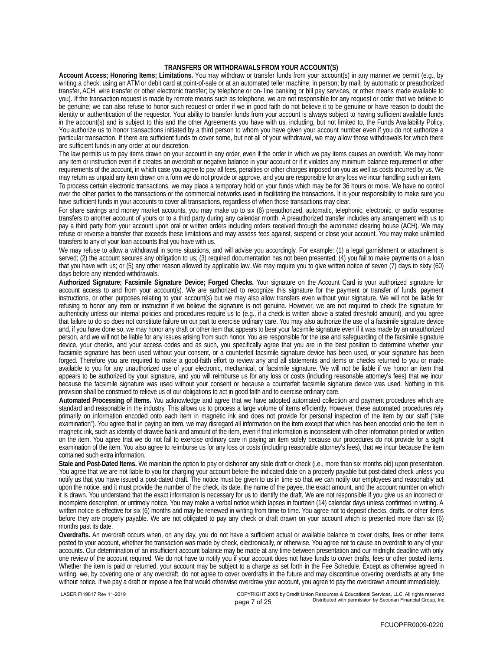### **TRANSFERS OR WITHDRAWALS FROM YOUR ACCOUNT(S)**

**Account Access; Honoring Items; Limitations.** You may withdraw or transfer funds from your account(s) in any manner we permit (e.g., by writing a check; using an ATM or debit card at point-of-sale or at an automated teller machine; in person; by mail; by automatic or preauthorized transfer, ACH, wire transfer or other electronic transfer; by telephone or on- line banking or bill pay services, or other means made available to you). If the transaction request is made by remote means such as telephone, we are not responsible for any request or order that we believe to be genuine; we can also refuse to honor such request or order if we in good faith do not believe it to be genuine or have reason to doubt the identity or authentication of the requestor. Your ability to transfer funds from your account is always subject to having sufficient available funds in the account(s) and is subject to this and the other Agreements you have with us, including, but not limited to, the Funds Availability Policy. You authorize us to honor transactions initiated by a third person to whom you have given your account number even if you do not authorize a particular transaction. If there are sufficient funds to cover some, but not all of your withdrawal, we may allow those withdrawals for which there are sufficient funds in any order at our discretion.

The law permits us to pay items drawn on your account in any order, even if the order in which we pay items causes an overdraft. We may honor any item or instruction even if it creates an overdraft or negative balance in your account or if it violates any minimum balance requirement or other requirements of the account, in which case you agree to pay all fees, penalties or other charges imposed on you as well as costs incurred by us. We may return as unpaid any item drawn on a form we do not provide or approve, and you are responsible for any loss we incur handling such an item.

To process certain electronic transactions, we may place a temporary hold on your funds which may be for 36 hours or more. We have no control over the other parties to the transactions or the commercial networks used in facilitating the transactions. It is your responsibility to make sure you have sufficient funds in your accounts to cover all transactions, regardless of when those transactions may clear.

For share savings and money market accounts, you may make up to six (6) preauthorized, automatic, telephonic, electronic, or audio response transfers to another account of yours or to a third party during any calendar month. A preauthorized transfer includes any arrangement with us to pay a third party from your account upon oral or written orders including orders received through the automated clearing house (ACH). We may refuse or reverse a transfer that exceeds these limitations and may assess fees against, suspend or close your account. You may make unlimited transfers to any of your loan accounts that you have with us.

We may refuse to allow a withdrawal in some situations, and will advise you accordingly. For example: (1) a legal garnishment or attachment is served; (2) the account secures any obligation to us; (3) required documentation has not been presented; (4) you fail to make payments on a loan that you have with us; or (5) any other reason allowed by applicable law. We may require you to give written notice of seven (7) days to sixty (60) days before any intended withdrawals.

**Authorized Signature; Facsimile Signature Device; Forged Checks.** Your signature on the Account Card is your authorized signature for account access to and from your account(s). We are authorized to recognize this signature for the payment or transfer of funds, payment instructions, or other purposes relating to your account(s) but we may also allow transfers even without your signature. We will not be liable for refusing to honor any item or instruction if we believe the signature is not genuine. However, we are not required to check the signature for authenticity unless our internal policies and procedures require us to (e.g., if a check is written above a stated threshold amount), and you agree that failure to do so does not constitute failure on our part to exercise ordinary care. You may also authorize the use of a facsimile signature device and, if you have done so, we may honor any draft or other item that appears to bear your facsimile signature even if it was made by an unauthorized person, and we will not be liable for any issues arising from such honor. You are responsible for the use and safeguarding of the facsimile signature device, your checks, and your access codes and as such, you specifically agree that you are in the best position to determine whether your facsimile signature has been used without your consent, or a counterfeit facsimile signature device has been used, or your signature has been forged. Therefore you are required to make a good-faith effort to review any and all statements and items or checks returned to you or made available to you for any unauthorized use of your electronic, mechanical, or facsimile signature. We will not be liable if we honor an item that appears to be authorized by your signature, and you will reimburse us for any loss or costs (including reasonable attorney's fees) that we incur because the facsimile signature was used without your consent or because a counterfeit facsimile signature device was used. Nothing in this provision shall be construed to relieve us of our obligations to act in good faith and to exercise ordinary care.

**Automated Processing of Items.** You acknowledge and agree that we have adopted automated collection and payment procedures which are standard and reasonable in the industry. This allows us to process a large volume of items efficiently. However, these automated procedures rely primarily on information encoded onto each item in magnetic ink and does not provide for personal inspection of the item by our staff ("site examination"). You agree that in paying an item, we may disregard all information on the item except that which has been encoded onto the item in magnetic ink, such as identity of drawee bank and amount of the item, even if that information is inconsistent with other information printed or written on the item. You agree that we do not fail to exercise ordinary care in paying an item solely because our procedures do not provide for a sight examination of the item. You also agree to reimburse us for any loss or costs (including reasonable attorney's fees), that we incur because the item contained such extra information.

**Stale and Post-Dated Items.** We maintain the option to pay or dishonor any stale draft or check (i.e., more than six months old) upon presentation. You agree that we are not liable to you for charging your account before the indicated date on a properly payable but post-dated check unless you notify us that you have issued a post-dated draft. The notice must be given to us in time so that we can notify our employees and reasonably act upon the notice, and it must provide the number of the check, its date, the name of the payee, the exact amount, and the account number on which it is drawn. You understand that the exact information is necessary for us to identify the draft. We are not responsible if you give us an incorrect or incomplete description, or untimely notice. You may make a verbal notice which lapses in fourteen (14) calendar days unless confirmed in writing. A written notice is effective for six (6) months and may be renewed in writing from time to time. You agree not to deposit checks, drafts, or other items before they are properly payable. We are not obligated to pay any check or draft drawn on your account which is presented more than six (6) months past its date.

**Overdrafts.** An overdraft occurs when, on any day, you do not have a sufficient actual or available balance to cover drafts, fees or other items posted to your account, whether the transaction was made by check, electronically, or otherwise. You agree not to cause an overdraft to any of your accounts. Our determination of an insufficient account balance may be made at any time between presentation and our midnight deadline with only one review of the account required. We do not have to notify you if your account does not have funds to cover drafts, fees or other posted items. Whether the item is paid or returned, your account may be subject to a charge as set forth in the Fee Schedule. Except as otherwise agreed in writing, we, by covering one or any overdraft, do not agree to cover overdrafts in the future and may discontinue covering overdrafts at any time without notice. If we pay a draft or impose a fee that would otherwise overdraw your account, you agree to pay the overdrawn amount immediately.

LASER FI19817 Rev 11-2019 COPYRIGHT 2005 by Credit Union Resources & Educational Services, LLC. All rights reserved. page 7 of 25 **Distributed with permission by Securian Financial Group, Inc.**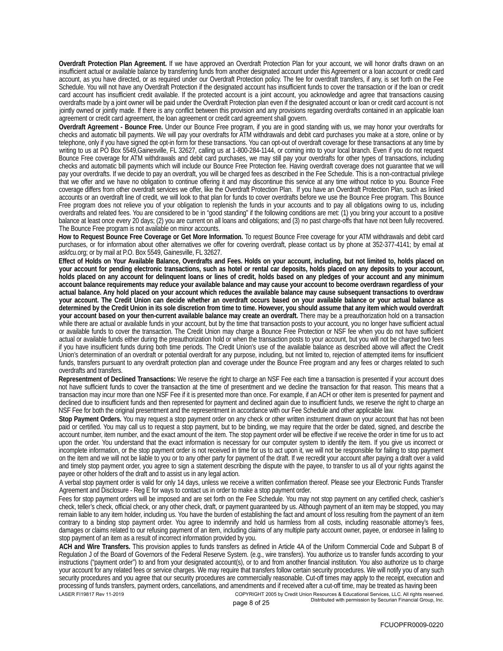**Overdraft Protection Plan Agreement.** If we have approved an Overdraft Protection Plan for your account, we will honor drafts drawn on an insufficient actual or available balance by transferring funds from another designated account under this Agreement or a loan account or credit card account, as you have directed, or as required under our Overdraft Protection policy. The fee for overdraft transfers, if any, is set forth on the Fee Schedule. You will not have any Overdraft Protection if the designated account has insufficient funds to cover the transaction or if the loan or credit card account has insufficient credit available. If the protected account is a joint account, you acknowledge and agree that transactions causing overdrafts made by a joint owner will be paid under the Overdraft Protection plan even if the designated account or loan or credit card account is not jointly owned or jointly made. If there is any conflict between this provision and any provisions regarding overdrafts contained in an applicable loan agreement or credit card agreement, the loan agreement or credit card agreement shall govern.

**Overdraft Agreement - Bounce Free.** Under our Bounce Free program, if you are in good standing with us, we may honor your overdrafts for checks and automatic bill payments. We will pay your overdrafts for ATM withdrawals and debit card purchases you make at a store, online or by telephone, only if you have signed the opt-in form for these transactions. You can opt-out of overdraft coverage for these transactions at any time by writing to us at PO Box 5549,Gainesville, FL 32627, calling us at 1-800-284-1144, or coming into to your local branch. Even if you do not request Bounce Free coverage for ATM withdrawals and debit card purchases, we may still pay your overdrafts for other types of transactions, including checks and automatic bill payments which will include our Bounce Free Protection fee. Having overdraft coverage does not guarantee that we will pay your overdrafts. If we decide to pay an overdraft, you will be charged fees as described in the Fee Schedule. This is a non-contractual privilege that we offer and we have no obligation to continue offering it and may discontinue this service at any time without notice to you. Bounce Free coverage differs from other overdraft services we offer, like the Overdraft Protection Plan. If you have an Overdraft Protection Plan, such as linked accounts or an overdraft line of credit, we will look to that plan for funds to cover overdrafts before we use the Bounce Free program. This Bounce Free program does not relieve you of your obligation to replenish the funds in your accounts and to pay all obligations owing to us, including overdrafts and related fees. You are considered to be in "good standing" if the following conditions are met: (1) you bring your account to a positive balance at least once every 20 days; (2) you are current on all loans and obligations; and (3) no past charge-offs that have not been fully recovered. The Bounce Free program is not available on minor accounts.

**How to Request Bounce Free Coverage or Get More Information.** To request Bounce Free coverage for your ATM withdrawals and debit card purchases, or for information about other alternatives we offer for covering overdraft, please contact us by phone at 352-377-4141; by email at askfcu.org; or by mail at P.O. Box 5549, Gainesville, FL 32627.

**Effect of Holds on Your Available Balance, Overdrafts and Fees. Holds on your account, including, but not limited to, holds placed on your account for pending electronic transactions, such as hotel or rental car deposits, holds placed on any deposits to your account, holds placed on any account for delinquent loans or lines of credit, holds based on any pledges of your account and any minimum account balance requirements may reduce your available balance and may cause your account to become overdrawn regardless of your actual balance. Any hold placed on your account which reduces the available balance may cause subsequent transactions to overdraw your account. The Credit Union can decide whether an overdraft occurs based on your available balance or your actual balance as determined by the Credit Union in its sole discretion from time to time. However, you should assume that any item which would overdraft your account based on your then-current available balance may create an overdraft.** There may be a preauthorization hold on a transaction while there are actual or available funds in your account, but by the time that transaction posts to your account, you no longer have sufficient actual or available funds to cover the transaction. The Credit Union may charge a Bounce Free Protection or NSF fee when you do not have sufficient actual or available funds either during the preauthorization hold or when the transaction posts to your account, but you will not be charged two fees if you have insufficient funds during both time periods. The Credit Union's use of the available balance as described above will affect the Credit Union's determination of an overdraft or potential overdraft for any purpose, including, but not limited to, rejection of attempted items for insufficient funds, transfers pursuant to any overdraft protection plan and coverage under the Bounce Free program and any fees or charges related to such overdrafts and transfers.

**Representment of Declined Transactions:** We reserve the right to charge an NSF Fee each time a transaction is presented if your account does not have sufficient funds to cover the transaction at the time of presentment and we decline the transaction for that reason. This means that a transaction may incur more than one NSF Fee if it is presented more than once. For example, if an ACH or other item is presented for payment and declined due to insufficient funds and then represented for payment and declined again due to insufficient funds, we reserve the right to charge an NSF Fee for both the original presentment and the representment in accordance with our Fee Schedule and other applicable law.

**Stop Payment Orders.** You may request a stop payment order on any check or other written instrument drawn on your account that has not been paid or certified. You may call us to request a stop payment, but to be binding, we may require that the order be dated, signed, and describe the account number, item number, and the exact amount of the item. The stop payment order will be effective if we receive the order in time for us to act upon the order. You understand that the exact information is necessary for our computer system to identify the item. If you give us incorrect or incomplete information, or the stop payment order is not received in time for us to act upon it, we will not be responsible for failing to stop payment on the item and we will not be liable to you or to any other party for payment of the draft. If we recredit your account after paying a draft over a valid and timely stop payment order, you agree to sign a statement describing the dispute with the payee, to transfer to us all of your rights against the payee or other holders of the draft and to assist us in any legal action.

A verbal stop payment order is valid for only 14 days, unless we receive a written confirmation thereof. Please see your Electronic Funds Transfer Agreement and Disclosure - Reg E for ways to contact us in order to make a stop payment order.

Fees for stop payment orders will be imposed and are set forth on the Fee Schedule. You may not stop payment on any certified check, cashier's check, teller's check, official check, or any other check, draft, or payment guaranteed by us. Although payment of an item may be stopped, you may remain liable to any item holder, including us. You have the burden of establishing the fact and amount of loss resulting from the payment of an item contrary to a binding stop payment order. You agree to indemnify and hold us harmless from all costs, including reasonable attorney's fees, damages or claims related to our refusing payment of an item, including claims of any multiple party account owner, payee, or endorsee in failing to stop payment of an item as a result of incorrect information provided by you.

**ACH and Wire Transfers.** This provision applies to funds transfers as defined in Article 4A of the Uniform Commercial Code and Subpart B of Regulation J of the Board of Governors of the Federal Reserve System. (e.g., wire transfers). You authorize us to transfer funds according to your instructions ("payment order") to and from your designated account(s), or to and from another financial institution. You also authorize us to charge your account for any related fees or service charges. We may require that transfers follow certain security procedures. We will notify you of any such security procedures and you agree that our security procedures are commercially reasonable. Cut-off times may apply to the receipt, execution and processing of funds transfers, payment orders, cancellations, and amendments and if received after a cut-off time, may be treated as having been LASER FI19817 Rev 11-2019 COPYRIGHT 2005 by Credit Union Resources & Educational Services, LLC. All rights reserved.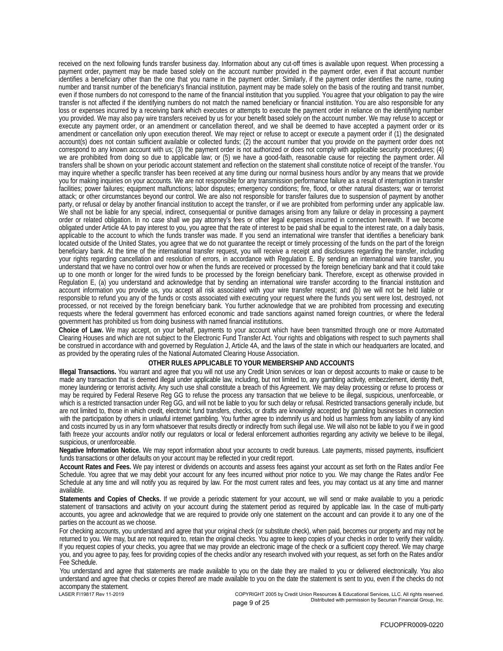received on the next following funds transfer business day. Information about any cut-off times is available upon request. When processing a payment order, payment may be made based solely on the account number provided in the payment order, even if that account number identifies a beneficiary other than the one that you name in the payment order. Similarly, if the payment order identifies the name, routing number and transit number of the beneficiary's financial institution, payment may be made solely on the basis of the routing and transit number, even if those numbers do not correspond to the name of the financial institution that you supplied. You agree that your obligation to pay the wire transfer is not affected if the identifying numbers do not match the named beneficiary or financial institution. You are also responsible for any loss or expenses incurred by a receiving bank which executes or attempts to execute the payment order in reliance on the identifying number you provided. We may also pay wire transfers received by us for your benefit based solely on the account number. We may refuse to accept or execute any payment order, or an amendment or cancellation thereof, and we shall be deemed to have accepted a payment order or its amendment or cancellation only upon execution thereof. We may reject or refuse to accept or execute a payment order if (1) the designated account(s) does not contain sufficient available or collected funds; (2) the account number that you provide on the payment order does not correspond to any known account with us; (3) the payment order is not authorized or does not comply with applicable security procedures; (4) we are prohibited from doing so due to applicable law; or (5) we have a good-faith, reasonable cause for rejecting the payment order. All transfers shall be shown on your periodic account statement and reflection on the statement shall constitute notice of receipt of the transfer. You may inquire whether a specific transfer has been received at any time during our normal business hours and/or by any means that we provide you for making inquiries on your accounts. We are not responsible for any transmission performance failure as a result of interruption in transfer facilities; power failures; equipment malfunctions; labor disputes; emergency conditions; fire, flood, or other natural disasters; war or terrorist attack; or other circumstances beyond our control. We are also not responsible for transfer failures due to suspension of payment by another party, or refusal or delay by another financial institution to accept the transfer, or if we are prohibited from performing under any applicable law. We shall not be liable for any special, indirect, consequential or punitive damages arising from any failure or delay in processing a payment order or related obligation. In no case shall we pay attorney's fees or other legal expenses incurred in connection herewith. If we become obligated under Article 4A to pay interest to you, you agree that the rate of interest to be paid shall be equal to the interest rate, on a daily basis, applicable to the account to which the funds transfer was made. If you send an international wire transfer that identifies a beneficiary bank located outside of the United States, you agree that we do not guarantee the receipt or timely processing of the funds on the part of the foreign beneficiary bank. At the time of the international transfer request, you will receive a receipt and disclosures regarding the transfer, including your rights regarding cancellation and resolution of errors, in accordance with Regulation E. By sending an international wire transfer, you understand that we have no control over how or when the funds are received or processed by the foreign beneficiary bank and that it could take up to one month or longer for the wired funds to be processed by the foreign beneficiary bank. Therefore, except as otherwise provided in Regulation E, (a) you understand and acknowledge that by sending an international wire transfer according to the financial institution and account information you provide us, you accept all risk associated with your wire transfer request; and (b) we will not be held liable or responsible to refund you any of the funds or costs associated with executing your request where the funds you sent were lost, destroyed, not processed, or not received by the foreign beneficiary bank. You further acknowledge that we are prohibited from processing and executing requests where the federal government has enforced economic and trade sanctions against named foreign countries, or where the federal government has prohibited us from doing business with named financial institutions.

**Choice of Law.** We may accept, on your behalf, payments to your account which have been transmitted through one or more Automated Clearing Houses and which are not subject to the Electronic Fund Transfer Act. Your rights and obligations with respect to such payments shall be construed in accordance with and governed by Regulation J, Article 4A, and the laws of the state in which our headquarters are located, and as provided by the operating rules of the National Automated Clearing House Association.

### **OTHER RULES APPLICABLE TO YOUR MEMBERSHIP AND ACCOUNTS**

**Illegal Transactions.** You warrant and agree that you will not use any Credit Union services or loan or deposit accounts to make or cause to be made any transaction that is deemed illegal under applicable law, including, but not limited to, any gambling activity, embezzlement, identity theft, money laundering or terrorist activity. Any such use shall constitute a breach of this Agreement. We may delay processing or refuse to process or may be required by Federal Reserve Reg GG to refuse the process any transaction that we believe to be illegal, suspicious, unenforceable, or which is a restricted transaction under Reg GG, and will not be liable to you for such delay or refusal. Restricted transactions generally include, but are not limited to, those in which credit, electronic fund transfers, checks, or drafts are knowingly accepted by gambling businesses in connection with the participation by others in unlawful internet gambling. You further agree to indemnify us and hold us harmless from any liability of any kind and costs incurred by us in any form whatsoever that results directly or indirectly from such illegal use. We will also not be liable to you if we in good faith freeze your accounts and/or notify our regulators or local or federal enforcement authorities regarding any activity we believe to be illegal, suspicious, or unenforceable.

**Negative Information Notice.** We may report information about your accounts to credit bureaus. Late payments, missed payments, insufficient funds transactions or other defaults on your account may be reflected in your credit report.

**Account Rates and Fees.** We pay interest or dividends on accounts and assess fees against your account as set forth on the Rates and/or Fee Schedule. You agree that we may debit your account for any fees incurred without prior notice to you. We may change the Rates and/or Fee Schedule at any time and will notify you as required by law. For the most current rates and fees, you may contact us at any time and manner available.

**Statements and Copies of Checks.** If we provide a periodic statement for your account, we will send or make available to you a periodic statement of transactions and activity on your account during the statement period as required by applicable law. In the case of multi-party accounts, you agree and acknowledge that we are required to provide only one statement on the account and can provide it to any one of the parties on the account as we choose.

For checking accounts, you understand and agree that your original check (or substitute check), when paid, becomes our property and may not be returned to you. We may, but are not required to, retain the original checks. You agree to keep copies of your checks in order to verify their validity. If you request copies of your checks, you agree that we may provide an electronic image of the check or a sufficient copy thereof. We may charge you, and you agree to pay, fees for providing copies of the checks and/or any research involved with your request, as set forth on the Rates and/or Fee Schedule.

You understand and agree that statements are made available to you on the date they are mailed to you or delivered electronically. You also understand and agree that checks or copies thereof are made available to you on the date the statement is sent to you, even if the checks do not accompany the statement.<br>LASER FI19817 Rev 11-2019

COPYRIGHT 2005 by Credit Union Resources & Educational Services, LLC. All rights reserved. page 9 of 25 **Distributed with permission by Securian Financial Group**, Inc.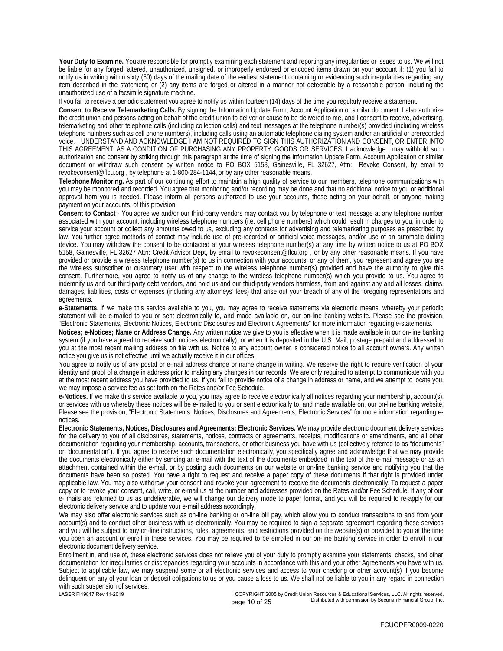**Your Duty to Examine.** You are responsible for promptly examining each statement and reporting any irregularities or issues to us. We will not be liable for any forged, altered, unauthorized, unsigned, or improperly endorsed or encoded items drawn on your account if: (1) you fail to notify us in writing within sixty (60) days of the mailing date of the earliest statement containing or evidencing such irregularities regarding any item described in the statement; or (2) any items are forged or altered in a manner not detectable by a reasonable person, including the unauthorized use of a facsimile signature machine.

If you fail to receive a periodic statement you agree to notify us within fourteen (14) days of the time you regularly receive a statement.

**Consent to Receive Telemarketing Calls.** By signing the Information Update Form, Account Application or similar document, I also authorize the credit union and persons acting on behalf of the credit union to deliver or cause to be delivered to me, and I consent to receive, advertising, telemarketing and other telephone calls (including collection calls) and text messages at the telephone number(s) provided (including wireless telephone numbers such as cell phone numbers), including calls using an automatic telephone dialing system and/or an artificial or prerecorded voice. I UNDERSTAND AND ACKNOWLEDGE I AM NOT REQUIRED TO SIGN THIS AUTHORIZATION AND CONSENT, OR ENTER INTO THIS AGREEMENT, AS A CONDITION OF PURCHASING ANY PROPERTY, GOODS OR SERVICES. I acknowledge I may withhold such authorization and consent by striking through this paragraph at the time of signing the Information Update Form, Account Application or similar document or withdraw such consent by written notice to PO BOX 5158, Gainesville, FL 32627, Attn: Revoke Consent, by email to revokeconsent@flcu.org , by telephone at 1-800-284-1144, or by any other reasonable means.

**Telephone Monitoring.** As part of our continuing effort to maintain a high quality of service to our members, telephone communications with you may be monitored and recorded. You agree that monitoring and/or recording may be done and that no additional notice to you or additional approval from you is needed. Please inform all persons authorized to use your accounts, those acting on your behalf, or anyone making payment on your accounts, of this provision.

**Consent to Contact** - You agree we and/or our third-party vendors may contact you by telephone or text message at any telephone number associated with your account, including wireless telephone numbers (i.e. cell phone numbers) which could result in charges to you, in order to service your account or collect any amounts owed to us, excluding any contacts for advertising and telemarketing purposes as prescribed by law. You further agree methods of contact may include use of pre-recorded or artificial voice messages, and/or use of an automatic dialing device. You may withdraw the consent to be contacted at your wireless telephone number(s) at any time by written notice to us at PO BOX 5158, Gainesville, FL 32627 Attn: Credit Advisor Dept, by email to revokeconsent@flcu.org, or by any other reasonable means. If you have provided or provide a wireless telephone number(s) to us in connection with your accounts, or any of them, you represent and agree you are the wireless subscriber or customary user with respect to the wireless telephone number(s) provided and have the authority to give this consent. Furthermore, you agree to notify us of any change to the wireless telephone number(s) which you provide to us. You agree to indemnify us and our third-party debt vendors, and hold us and our third-party vendors harmless, from and against any and all losses, claims, damages, liabilities, costs or expenses (including any attorneys' fees) that arise out your breach of any of the foregoing representations and agreements.

**e-Statements.** If we make this service available to you, you may agree to receive statements via electronic means, whereby your periodic statement will be e-mailed to you or sent electronically to, and made available on, our on-line banking website. Please see the provision, "Electronic Statements, Electronic Notices, Electronic Disclosures and Electronic Agreements" for more information regarding e-statements.

**Notices; e-Notices; Name or Address Change.** Any written notice we give to you is effective when it is made available in our on-line banking system (if you have agreed to receive such notices electronically), or when it is deposited in the U.S. Mail, postage prepaid and addressed to you at the most recent mailing address on file with us. Notice to any account owner is considered notice to all account owners. Any written notice you give us is not effective until we actually receive it in our offices.

You agree to notify us of any postal or e-mail address change or name change in writing. We reserve the right to require verification of your identity and proof of a change in address prior to making any changes in our records. We are only required to attempt to communicate with you at the most recent address you have provided to us. If you fail to provide notice of a change in address or name, and we attempt to locate you, we may impose a service fee as set forth on the Rates and/or Fee Schedule.

**e-Notices.** If we make this service available to you, you may agree to receive electronically all notices regarding your membership, account(s), or services with us whereby these notices will be e-mailed to you or sent electronically to, and made available on, our on-line banking website. Please see the provision, "Electronic Statements, Notices, Disclosures and Agreements; Electronic Services" for more information regarding enotices.

**Electronic Statements, Notices, Disclosures and Agreements; Electronic Services.** We may provide electronic document delivery services for the delivery to you of all disclosures, statements, notices, contracts or agreements, receipts, modifications or amendments, and all other documentation regarding your membership, accounts, transactions, or other business you have with us (collectively referred to as "documents" or "documentation"). If you agree to receive such documentation electronically, you specifically agree and acknowledge that we may provide the documents electronically either by sending an e-mail with the text of the documents embedded in the text of the e-mail message or as an attachment contained within the e-mail, or by posting such documents on our website or on-line banking service and notifying you that the documents have been so posted. You have a right to request and receive a paper copy of these documents if that right is provided under applicable law. You may also withdraw your consent and revoke your agreement to receive the documents electronically. To request a paper copy or to revoke your consent, call, write, or e-mail us at the number and addresses provided on the Rates and/or Fee Schedule. If any of our e- mails are returned to us as undeliverable, we will change our delivery mode to paper format, and you will be required to re-apply for our electronic delivery service and to update your e-mail address accordingly.

We may also offer electronic services such as on-line banking or on-line bill pay, which allow you to conduct transactions to and from your account(s) and to conduct other business with us electronically. You may be required to sign a separate agreement regarding these services and you will be subject to any on-line instructions, rules, agreements, and restrictions provided on the website(s) or provided to you at the time you open an account or enroll in these services. You may be required to be enrolled in our on-line banking service in order to enroll in our electronic document delivery service.

Enrollment in, and use of, these electronic services does not relieve you of your duty to promptly examine your statements, checks, and other documentation for irregularities or discrepancies regarding your accounts in accordance with this and your other Agreements you have with us. Subject to applicable law, we may suspend some or all electronic services and access to your checking or other account(s) if you become delinquent on any of your loan or deposit obligations to us or you cause a loss to us. We shall not be liable to you in any regard in connection with such suspension of services.

LASER FI19817 Rev 11-2019 COPYRIGHT 2005 by Credit Union Resources & Educational Services, LLC. All rights reserved. page 10 of 25 **Distributed with permission by Securian Financial Group**, Inc.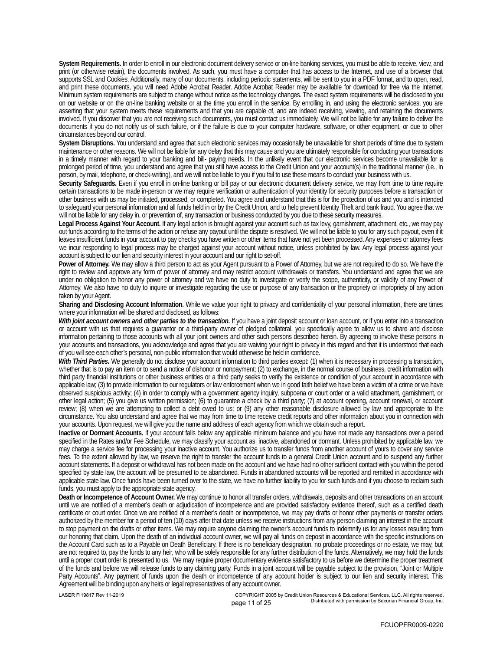**System Requirements.** In order to enroll in our electronic document delivery service or on-line banking services, you must be able to receive, view, and print (or otherwise retain), the documents involved. As such, you must have a computer that has access to the Internet, and use of a browser that supports SSL and Cookies. Additionally, many of our documents, including periodic statements, will be sent to you in a PDF format, and to open, read, and print these documents, you will need Adobe Acrobat Reader. Adobe Acrobat Reader may be available for download for free via the Internet. Minimum system requirements are subject to change without notice as the technology changes. The exact system requirements will be disclosed to you on our website or on the on-line banking website or at the time you enroll in the service. By enrolling in, and using the electronic services, you are asserting that your system meets these requirements and that you are capable of, and are indeed receiving, viewing, and retaining the documents involved. If you discover that you are not receiving such documents, you must contact us immediately. We will not be liable for any failure to deliver the documents if you do not notify us of such failure, or if the failure is due to your computer hardware, software, or other equipment, or due to other circumstances beyond our control.

**System Disruptions.** You understand and agree that such electronic services may occasionally be unavailable for short periods of time due to system maintenance or other reasons. We will not be liable for any delay that this may cause and you are ultimately responsible for conducting your transactions in a timely manner with regard to your banking and bill- paying needs. In the unlikely event that our electronic services become unavailable for a prolonged period of time, you understand and agree that you still have access to the Credit Union and your account(s) in the traditional manner (i.e., in person, by mail, telephone, or check-writing), and we will not be liable to you if you fail to use these means to conduct your business with us.

**Security Safeguards.** Even if you enroll in on-line banking or bill pay or our electronic document delivery service, we may from time to time require certain transactions to be made in-person or we may require verification or authentication of your identity for security purposes before a transaction or other business with us may be initiated, processed, or completed. You agree and understand that this is for the protection of us and you and is intended to safeguard your personal information and all funds held in or by the Credit Union, and to help prevent Identity Theft and bank fraud. You agree that we will not be liable for any delay in, or prevention of, any transaction or business conducted by you due to these security measures.

**Legal Process Against Your Account.** If any legal action is brought against your account such as tax levy, garnishment, attachment, etc., we may pay out funds according to the terms of the action or refuse any payout until the dispute is resolved. We will not be liable to you for any such payout, even if it leaves insufficient funds in your account to pay checks you have written or other items that have not yet been processed. Any expenses or attorney fees we incur responding to legal process may be charged against your account without notice, unless prohibited by law. Any legal process against your account is subject to our lien and security interest in your account and our right to set-off.

**Power of Attorney.** We may allow a third person to act as your Agent pursuant to a Power of Attorney, but we are not required to do so. We have the right to review and approve any form of power of attorney and may restrict account withdrawals or transfers. You understand and agree that we are under no obligation to honor any power of attorney and we have no duty to investigate or verify the scope, authenticity, or validity of any Power of Attorney. We also have no duty to inquire or investigate regarding the use or purpose of any transaction or the propriety or impropriety of any action taken by your Agent.

**Sharing and Disclosing Account Information.** While we value your right to privacy and confidentiality of your personal information, there are times where your information will be shared and disclosed, as follows:

*With joint account owners and other parties to the transaction.* If you have a joint deposit account or loan account, or if you enter into a transaction or account with us that requires a guarantor or a third-party owner of pledged collateral, you specifically agree to allow us to share and disclose information pertaining to those accounts with all your joint owners and other such persons described herein. By agreeing to involve these persons in your accounts and transactions, you acknowledge and agree that you are waiving your right to privacy in this regard and that it is understood that each of you will see each other's personal, non-public information that would otherwise be held in confidence.

*With Third Parties.* We generally do not disclose your account information to third parties except: (1) when it is necessary in processing a transaction, whether that is to pay an item or to send a notice of dishonor or nonpayment; (2) to exchange, in the normal course of business, credit information with third party financial institutions or other business entities or a third party seeks to verify the existence or condition of your account in accordance with applicable law; (3) to provide information to our regulators or law enforcement when we in good faith belief we have been a victim of a crime or we have observed suspicious activity; (4) in order to comply with a government agency inquiry, subpoena or court order or a valid attachment, garnishment, or other legal action; (5) you give us written permission; (6) to guarantee a check by a third party; (7) at account opening, account renewal, or account review; (8) when we are attempting to collect a debt owed to us; or (9) any other reasonable disclosure allowed by law and appropriate to the circumstance. You also understand and agree that we may from time to time receive credit reports and other information about you in connection with your accounts. Upon request, we will give you the name and address of each agency from which we obtain such a report.

**Inactive or Dormant Accounts.** If your account falls below any applicable minimum balance and you have not made any transactions over a period specified in the Rates and/or Fee Schedule, we may classify your account as inactive, abandoned or dormant. Unless prohibited by applicable law, we may charge a service fee for processing your inactive account. You authorize us to transfer funds from another account of yours to cover any service fees. To the extent allowed by law, we reserve the right to transfer the account funds to a general Credit Union account and to suspend any further account statements. If a deposit or withdrawal has not been made on the account and we have had no other sufficient contact with you within the period specified by state law, the account will be presumed to be abandoned. Funds in abandoned accounts will be reported and remitted in accordance with applicable state law. Once funds have been turned over to the state, we have no further liability to you for such funds and if you choose to reclaim such funds, you must apply to the appropriate state agency.

**Death or Incompetence of Account Owner.** We may continue to honor all transfer orders, withdrawals, deposits and other transactions on an account until we are notified of a member's death or adjudication of incompetence and are provided satisfactory evidence thereof, such as a certified death certificate or court order. Once we are notified of a member's death or incompetence, we may pay drafts or honor other payments or transfer orders authorized by the member for a period of ten (10) days after that date unless we receive instructions from any person claiming an interest in the account to stop payment on the drafts or other items. We may require anyone claiming the owner's account funds to indemnify us for any losses resulting from our honoring that claim. Upon the death of an individual account owner, we will pay all funds on deposit in accordance with the specific instructions on the Account Card such as to a Payable on Death Beneficiary. If there is no beneficiary designation, no probate proceedings or no estate, we may, but are not required to, pay the funds to any heir, who will be solely responsible for any further distribution of the funds. Alternatively, we may hold the funds until a proper court order is presented to us. We may require proper documentary evidence satisfactory to us before we determine the proper treatment of the funds and before we will release funds to any claiming party. Funds in a joint account will be payable subject to the provision, "Joint or Multiple Party Accounts". Any payment of funds upon the death or incompetence of any account holder is subject to our lien and security interest. This Agreement will be binding upon any heirs or legal representatives of any account owner.

LASER FI19817 Rev 11-2019 COPYRIGHT 2005 by Credit Union Resources & Educational Services, LLC. All rights reserved. Distributed with permission by Securian Financial Group, Inc. page 11 of 25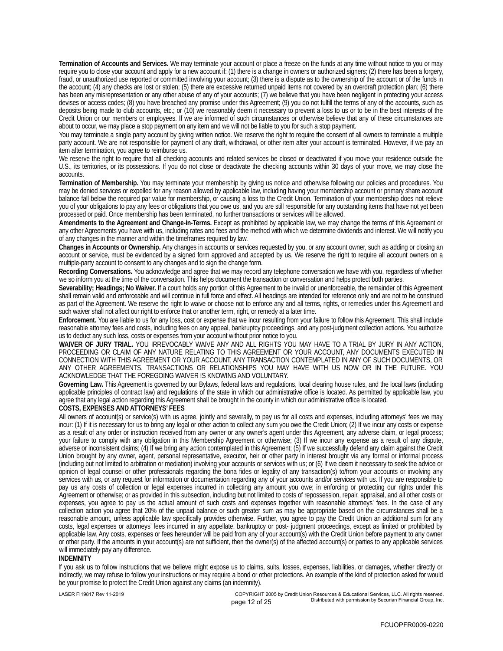**Termination of Accounts and Services.** We may terminate your account or place a freeze on the funds at any time without notice to you or may require you to close your account and apply for a new account if: (1) there is a change in owners or authorized signers; (2) there has been a forgery, fraud, or unauthorized use reported or committed involving your account; (3) there is a dispute as to the ownership of the account or of the funds in the account; (4) any checks are lost or stolen; (5) there are excessive returned unpaid items not covered by an overdraft protection plan; (6) there has been any misrepresentation or any other abuse of any of your accounts; (7) we believe that you have been negligent in protecting your access devises or access codes; (8) you have breached any promise under this Agreement; (9) you do not fulfill the terms of any of the accounts, such as deposits being made to club accounts, etc.; or (10) we reasonably deem it necessary to prevent a loss to us or to be in the best interests of the Credit Union or our members or employees. If we are informed of such circumstances or otherwise believe that any of these circumstances are about to occur, we may place a stop payment on any item and we will not be liable to you for such a stop payment.

You may terminate a single party account by giving written notice. We reserve the right to require the consent of all owners to terminate a multiple party account. We are not responsible for payment of any draft, withdrawal, or other item after your account is terminated. However, if we pay an item after termination, you agree to reimburse us.

We reserve the right to require that all checking accounts and related services be closed or deactivated if you move your residence outside the U.S., its territories, or its possessions. If you do not close or deactivate the checking accounts within 30 days of your move, we may close the accounts.

**Termination of Membership.** You may terminate your membership by giving us notice and otherwise following our policies and procedures. You may be denied services or expelled for any reason allowed by applicable law, including having your membership account or primary share account balance fall below the required par value for membership, or causing a loss to the Credit Union. Termination of your membership does not relieve you of your obligations to pay any fees or obligations that you owe us, and you are still responsible for any outstanding items that have not yet been processed or paid. Once membership has been terminated, no further transactions or services will be allowed.

**Amendments to the Agreement and Change-in-Terms.** Except as prohibited by applicable law, we may change the terms of this Agreement or any other Agreements you have with us, including rates and fees and the method with which we determine dividends and interest. We will notify you of any changes in the manner and within the timeframes required by law.

**Changes in Accounts or Ownership.** Any changes in accounts or services requested by you, or any account owner, such as adding or closing an account or service, must be evidenced by a signed form approved and accepted by us. We reserve the right to require all account owners on a multiple-party account to consent to any changes and to sign the change form.

**Recording Conversations.** You acknowledge and agree that we may record any telephone conversation we have with you, regardless of whether we so inform you at the time of the conversation. This helps document the transaction or conversation and helps protect both parties.

**Severability; Headings; No Waiver.** If a court holds any portion of this Agreement to be invalid or unenforceable, the remainder of this Agreement shall remain valid and enforceable and will continue in full force and effect. All headings are intended for reference only and are not to be construed as part of the Agreement. We reserve the right to waive or choose not to enforce any and all terms, rights, or remedies under this Agreement and such waiver shall not affect our right to enforce that or another term, right, or remedy at a later time.

**Enforcement.** You are liable to us for any loss, cost or expense that we incur resulting from your failure to follow this Agreement. This shall include reasonable attorney fees and costs, including fees on any appeal, bankruptcy proceedings, and any post-judgment collection actions. You authorize us to deduct any such loss, costs or expenses from your account without prior notice to you.

**WAIVER OF JURY TRIAL.** YOU IRREVOCABLY WAIVE ANY AND ALL RIGHTS YOU MAY HAVE TO A TRIAL BY JURY IN ANY ACTION, PROCEEDING OR CLAIM OF ANY NATURE RELATING TO THIS AGREEMENT OR YOUR ACCOUNT, ANY DOCUMENTS EXECUTED IN CONNECTION WITH THIS AGREEMENT OR YOUR ACCOUNT, ANY TRANSACTION CONTEMPLATED IN ANY OF SUCH DOCUMENTS, OR ANY OTHER AGREEMENTS, TRANSACTIONS OR RELATIONSHIPS YOU MAY HAVE WITH US NOW OR IN THE FUTURE. YOU ACKNOWLEDGE THAT THE FOREGOING WAIVER IS KNOWING AND VOLUNTARY.

**Governing Law.** This Agreement is governed by our Bylaws, federal laws and regulations, local clearing house rules, and the local laws (including applicable principles of contract law) and regulations of the state in which our administrative office is located. As permitted by applicable law, you agree that any legal action regarding this Agreement shall be brought in the county in which our administrative office is located.

**COSTS, EXPENSES AND ATTORNEYS' FEES**

All owners of account(s) or service(s) with us agree, jointly and severally, to pay us for all costs and expenses, including attorneys' fees we may incur: (1) If it is necessary for us to bring any legal or other action to collect any sum you owe the Credit Union; (2) If we incur any costs or expense as a result of any order or instruction received from any owner or any owner's agent under this Agreement, any adverse claim, or legal process; your failure to comply with any obligation in this Membership Agreement or otherwise; (3) If we incur any expense as a result of any dispute, adverse or inconsistent claims; (4) If we bring any action contemplated in this Agreement; (5) If we successfully defend any claim against the Credit Union brought by any owner, agent, personal representative, executor, heir or other party in interest brought via any formal or informal process (including but not limited to arbitration or mediation) involving your accounts or services with us; or (6) If we deem it necessary to seek the advice or opinion of legal counsel or other professionals regarding the bona fides or legality of any transaction(s) to/from your accounts or involving any services with us, or any request for information or documentation regarding any of your accounts and/or services with us. If you are responsible to pay us any costs of collection or legal expenses incurred in collecting any amount you owe; in enforcing or protecting our rights under this Agreement or otherwise; or as provided in this subsection, including but not limited to costs of repossession, repair, appraisal, and all other costs or expenses, you agree to pay us the actual amount of such costs and expenses together with reasonable attorneys' fees. In the case of any collection action you agree that 20% of the unpaid balance or such greater sum as may be appropriate based on the circumstances shall be a reasonable amount, unless applicable law specifically provides otherwise. Further, you agree to pay the Credit Union an additional sum for any costs, legal expenses or attorneys' fees incurred in any appellate, bankruptcy or post- judgment proceedings, except as limited or prohibited by applicable law. Any costs, expenses or fees hereunder will be paid from any of your account(s) with the Credit Union before payment to any owner or other party. If the amounts in your account(s) are not sufficient, then the owner(s) of the affected account(s) or parties to any applicable services will immediately pay any difference.

### **INDEMNITY**

If you ask us to follow instructions that we believe might expose us to claims, suits, losses, expenses, liabilities, or damages, whether directly or indirectly, we may refuse to follow your instructions or may require a bond or other protections. An example of the kind of protection asked for would be your promise to protect the Credit Union against any claims (an indemnity).

LASER FI19817 Rev 11-2019 COPYRIGHT 2005 by Credit Union Resources & Educational Services, LLC. All rights reserved. page 12 of 25 **Distributed with permission by Securian Financial Group**, Inc.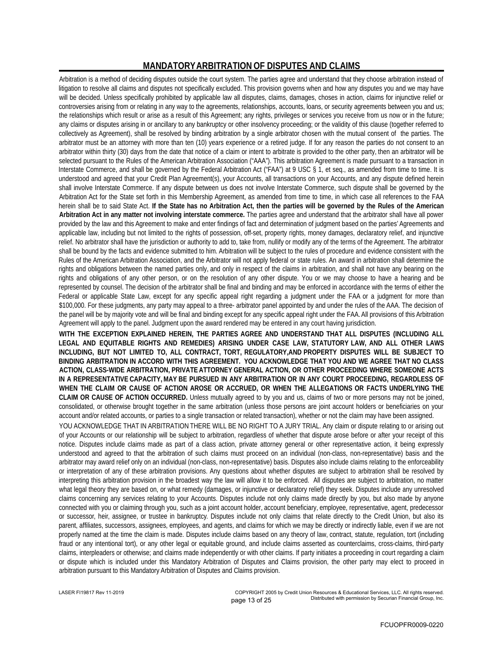## **MANDATORY ARBITRATION OF DISPUTES AND CLAIMS**

Arbitration is a method of deciding disputes outside the court system. The parties agree and understand that they choose arbitration instead of litigation to resolve all claims and disputes not specifically excluded. This provision governs when and how any disputes you and we may have will be decided. Unless specifically prohibited by applicable law all disputes, claims, damages, choses in action, claims for injunctive relief or controversies arising from or relating in any way to the agreements, relationships, accounts, loans, or security agreements between you and us; the relationships which result or arise as a result of this Agreement; any rights, privileges or services you receive from us now or in the future; any claims or disputes arising in or ancillary to any bankruptcy or other insolvency proceeding; or the validity of this clause (together referred to collectively as Agreement), shall be resolved by binding arbitration by a single arbitrator chosen with the mutual consent of the parties. The arbitrator must be an attorney with more than ten (10) years experience or a retired judge. If for any reason the parties do not consent to an arbitrator within thirty (30) days from the date that notice of a claim or intent to arbitrate is provided to the other party, then an arbitrator will be selected pursuant to the Rules of the American Arbitration Association ("AAA"). This arbitration Agreement is made pursuant to a transaction in Interstate Commerce, and shall be governed by the Federal Arbitration Act ("FAA") at 9 USC § 1, et seq., as amended from time to time. It is understood and agreed that your Credit Plan Agreement(s), your Accounts, all transactions on your Accounts, and any dispute defined herein shall involve Interstate Commerce. If any dispute between us does not involve Interstate Commerce, such dispute shall be governed by the Arbitration Act for the State set forth in this Membership Agreement, as amended from time to time, in which case all references to the FAA herein shall be to said State Act. **If the State has no Arbitration Act, then the parties will be governed by the Rules of the American Arbitration Act in any matter not involving interstate commerce.** The parties agree and understand that the arbitrator shall have all power provided by the law and this Agreement to make and enter findings of fact and determination of judgment based on the parties' Agreements and applicable law, including but not limited to the rights of possession, off-set, property rights, money damages, declaratory relief, and injunctive relief. No arbitrator shall have the jurisdiction or authority to add to, take from, nullify or modify any of the terms of the Agreement. The arbitrator shall be bound by the facts and evidence submitted to him. Arbitration will be subject to the rules of procedure and evidence consistent with the Rules of the American Arbitration Association, and the Arbitrator will not apply federal or state rules. An award in arbitration shall determine the rights and obligations between the named parties only, and only in respect of the claims in arbitration, and shall not have any bearing on the rights and obligations of any other person, or on the resolution of any other dispute. You or we may choose to have a hearing and be represented by counsel. The decision of the arbitrator shall be final and binding and may be enforced in accordance with the terms of either the Federal or applicable State Law, except for any specific appeal right regarding a judgment under the FAA or a judgment for more than \$100,000. For these judgments, any party may appeal to a three- arbitrator panel appointed by and under the rules of the AAA. The decision of the panel will be by majority vote and will be final and binding except for any specific appeal right under the FAA. All provisions of this Arbitration Agreement will apply to the panel. Judgment upon the award rendered may be entered in any court having jurisdiction. **WITH THE EXCEPTION EXPLAINED HEREIN, THE PARTIES AGREE AND UNDERSTAND THAT ALL DISPUTES (INCLUDING ALL LEGAL AND EQUITABLE RIGHTS AND REMEDIES) ARISING UNDER CASE LAW, STATUTORY LAW, AND ALL OTHER LAWS INCLUDING, BUT NOT LIMITED TO, ALL CONTRACT, TORT, REGULATORY,AND PROPERTY DISPUTES WILL BE SUBJECT TO**

**BINDING ARBITRATION IN ACCORD WITH THIS AGREEMENT. YOU ACKNOWLEDGE THAT YOU AND WE AGREE THAT NO CLASS ACTION, CLASS-WIDE ARBITRATION, PRIVATE ATTORNEY GENERAL ACTION, OR OTHER PROCEEDING WHERE SOMEONE ACTS IN A REPRESENTATIVE CAPACITY, MAY BE PURSUED IN ANY ARBITRATION OR IN ANY COURT PROCEEDING, REGARDLESS OF WHEN THE CLAIM OR CAUSE OF ACTION AROSE OR ACCRUED, OR WHEN THE ALLEGATIONS OR FACTS UNDERLYING THE CLAIM OR CAUSE OF ACTION OCCURRED.** Unless mutually agreed to by you and us, claims of two or more persons may not be joined, consolidated, or otherwise brought together in the same arbitration (unless those persons are joint account holders or beneficiaries on your account and/or related accounts, or parties to a single transaction or related transaction), whether or not the claim may have been assigned.

YOU ACKNOWLEDGE THAT IN ARBITRATION THERE WILL BE NO RIGHT TO A JURY TRIAL. Any claim or dispute relating to or arising out of your Accounts or our relationship will be subject to arbitration, regardless of whether that dispute arose before or after your receipt of this notice. Disputes include claims made as part of a class action, private attorney general or other representative action, it being expressly understood and agreed to that the arbitration of such claims must proceed on an individual (non-class, non-representative) basis and the arbitrator may award relief only on an individual (non-class, non-representative) basis. Disputes also include claims relating to the enforceability or interpretation of any of these arbitration provisions. Any questions about whether disputes are subject to arbitration shall be resolved by interpreting this arbitration provision in the broadest way the law will allow it to be enforced. All disputes are subject to arbitration, no matter what legal theory they are based on, or what remedy (damages, or injunctive or declaratory relief) they seek. Disputes include any unresolved claims concerning any services relating to your Accounts. Disputes include not only claims made directly by you, but also made by anyone connected with you or claiming through you, such as a joint account holder, account beneficiary, employee, representative, agent, predecessor or successor, heir, assignee, or trustee in bankruptcy. Disputes include not only claims that relate directly to the Credit Union, but also its parent, affiliates, successors, assignees, employees, and agents, and claims for which we may be directly or indirectly liable, even if we are not properly named at the time the claim is made. Disputes include claims based on any theory of law, contract, statute, regulation, tort (including fraud or any intentional tort), or any other legal or equitable ground, and include claims asserted as counterclaims, cross-claims, third-party claims, interpleaders or otherwise; and claims made independently or with other claims. If party initiates a proceeding in court regarding a claim or dispute which is included under this Mandatory Arbitration of Disputes and Claims provision, the other party may elect to proceed in arbitration pursuant to this Mandatory Arbitration of Disputes and Claims provision.

LASER FI19817 Rev 11-2019 COPYRIGHT 2005 by Credit Union Resources & Educational Services, LLC. All rights reserved. page 13 of 25 **Distributed with permission by Securian Financial Group**, Inc.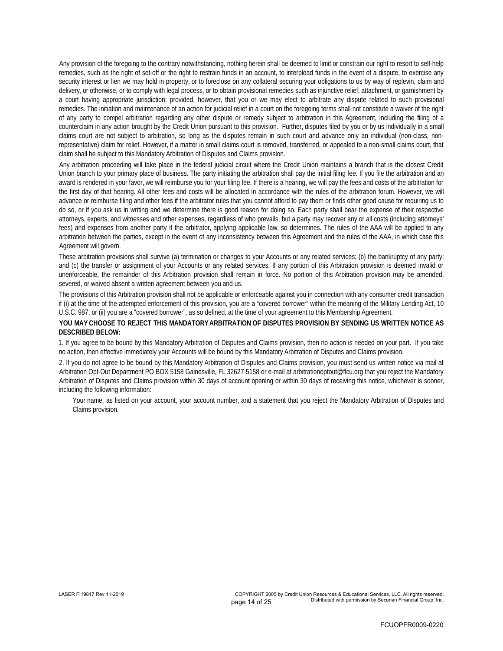Any provision of the foregoing to the contrary notwithstanding, nothing herein shall be deemed to limit or constrain our right to resort to self-help remedies, such as the right of set-off or the right to restrain funds in an account, to interplead funds in the event of a dispute, to exercise any security interest or lien we may hold in property, or to foreclose on any collateral securing your obligations to us by way of replevin, claim and delivery, or otherwise, or to comply with legal process, or to obtain provisional remedies such as injunctive relief, attachment, or garnishment by a court having appropriate jurisdiction; provided, however, that you or we may elect to arbitrate any dispute related to such provisional remedies. The initiation and maintenance of an action for judicial relief in a court on the foregoing terms shall not constitute a waiver of the right of any party to compel arbitration regarding any other dispute or remedy subject to arbitration in this Agreement, including the filing of a counterclaim in any action brought by the Credit Union pursuant to this provision. Further, disputes filed by you or by us individually in a small claims court are not subject to arbitration, so long as the disputes remain in such court and advance only an individual (non-class, nonrepresentative) claim for relief. However, if a matter in small claims court is removed, transferred, or appealed to a non-small claims court, that claim shall be subject to this Mandatory Arbitration of Disputes and Claims provision.

Any arbitration proceeding will take place in the federal judicial circuit where the Credit Union maintains a branch that is the closest Credit Union branch to your primary place of business. The party initiating the arbitration shall pay the initial filing fee. If you file the arbitration and an award is rendered in your favor, we will reimburse you for your filing fee. If there is a hearing, we will pay the fees and costs of the arbitration for the first day of that hearing. All other fees and costs will be allocated in accordance with the rules of the arbitration forum. However, we will advance or reimburse filing and other fees if the arbitrator rules that you cannot afford to pay them or finds other good cause for requiring us to do so, or if you ask us in writing and we determine there is good reason for doing so. Each party shall bear the expense of their respective attorneys, experts, and witnesses and other expenses, regardless of who prevails, but a party may recover any or all costs (including attorneys' fees) and expenses from another party if the arbitrator, applying applicable law, so determines. The rules of the AAA will be applied to any arbitration between the parties, except in the event of any inconsistency between this Agreement and the rules of the AAA, in which case this Agreement will govern.

These arbitration provisions shall survive (a) termination or changes to your Accounts or any related services; (b) the bankruptcy of any party; and (c) the transfer or assignment of your Accounts or any related services. If any portion of this Arbitration provision is deemed invalid or unenforceable, the remainder of this Arbitration provision shall remain in force. No portion of this Arbitration provision may be amended, severed, or waived absent a written agreement between you and us.

The provisions of this Arbitration provision shall not be applicable or enforceable against you in connection with any consumer credit transaction if (i) at the time of the attempted enforcement of this provision, you are a "covered borrower" within the meaning of the Military Lending Act, 10 U.S.C. 987, or (ii) you are a "covered borrower", as so defined, at the time of your agreement to this Membership Agreement.

**YOU MAY CHOOSE TO REJECT THIS MANDATORY ARBITRATION OF DISPUTES PROVISION BY SENDING US WRITTEN NOTICE AS DESCRIBED BELOW:**

1. If you agree to be bound by this Mandatory Arbitration of Disputes and Claims provision, then no action is needed on your part. If you take no action, then effective immediately your Accounts will be bound by this Mandatory Arbitration of Disputes and Claims provision.

2. If you do not agree to be bound by this Mandatory Arbitration of Disputes and Claims provision, you must send us written notice via mail at Arbitration Opt-Out Department PO BOX 5158 Gainesville, FL 32627-5158 or e-mail at arbitrationoptout@flcu.org that you reject the Mandatory Arbitration of Disputes and Claims provision within 30 days of account opening or within 30 days of receiving this notice, whichever is sooner, including the following information:

 Your name, as listed on your account, your account number, and a statement that you reject the Mandatory Arbitration of Disputes and Claims provision.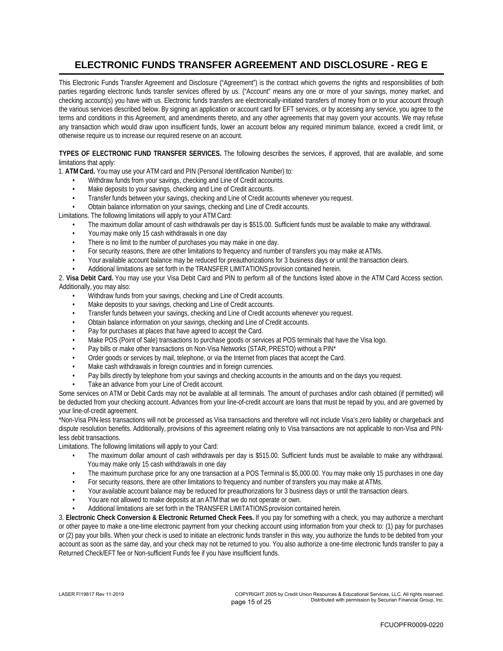## **ELECTRONIC FUNDS TRANSFER AGREEMENT AND DISCLOSURE - REG E**

This Electronic Funds Transfer Agreement and Disclosure ("Agreement") is the contract which governs the rights and responsibilities of both parties regarding electronic funds transfer services offered by us. ("Account" means any one or more of your savings, money market, and checking account(s) you have with us. Electronic funds transfers are electronically-initiated transfers of money from or to your account through the various services described below. By signing an application or account card for EFT services, or by accessing any service, you agree to the terms and conditions in this Agreement, and amendments thereto, and any other agreements that may govern your accounts. We may refuse any transaction which would draw upon insufficient funds, lower an account below any required minimum balance, exceed a credit limit, or otherwise require us to increase our required reserve on an account.

**TYPES OF ELECTRONIC FUND TRANSFER SERVICES.** The following describes the services, if approved, that are available, and some limitations that apply:

1. **ATM Card.** You may use your ATM card and PIN (Personal Identification Number) to:

- Withdraw funds from your savings, checking and Line of Credit accounts.
- Make deposits to your savings, checking and Line of Credit accounts.
- Transfer funds between your savings, checking and Line of Credit accounts whenever you request.
- Obtain balance information on your savings, checking and Line of Credit accounts.

Limitations. The following limitations will apply to your ATM Card:

- The maximum dollar amount of cash withdrawals per day is \$515.00. Sufficient funds must be available to make any withdrawal.
- You may make only 15 cash withdrawals in one day
- There is no limit to the number of purchases you may make in one day.
- For security reasons, there are other limitations to frequency and number of transfers you may make at ATMs.
- Your available account balance may be reduced for preauthorizations for 3 business days or until the transaction clears.
- Additional limitations are set forth in the TRANSFER LIMITATIONS provision contained herein.

2. **Visa Debit Card.** You may use your Visa Debit Card and PIN to perform all of the functions listed above in the ATM Card Access section. Additionally, you may also:

- Withdraw funds from your savings, checking and Line of Credit accounts.
- Make deposits to your savings, checking and Line of Credit accounts.
- Transfer funds between your savings, checking and Line of Credit accounts whenever you request.
- Obtain balance information on your savings, checking and Line of Credit accounts.
- Pay for purchases at places that have agreed to accept the Card.
- Make POS (Point of Sale) transactions to purchase goods or services at POS terminals that have the Visa logo.
- Pay bills or make other transactions on Non-Visa Networks (STAR, PRESTO) without a PIN\*
- Order goods or services by mail, telephone, or via the Internet from places that accept the Card.
- Make cash withdrawals in foreign countries and in foreign currencies.
- Pay bills directly by telephone from your savings and checking accounts in the amounts and on the days you request.
- Take an advance from your Line of Credit account.

Some services on ATM or Debit Cards may not be available at all terminals. The amount of purchases and/or cash obtained (if permitted) will be deducted from your checking account. Advances from your line-of-credit account are loans that must be repaid by you, and are governed by your line-of-credit agreement.

\*Non-Visa PIN-less transactions will not be processed as Visa transactions and therefore will not include Visa's zero liability or chargeback and dispute resolution benefits. Additionally, provisions of this agreement relating only to Visa transactions are not applicable to non-Visa and PINless debit transactions.

Limitations. The following limitations will apply to your Card:

- The maximum dollar amount of cash withdrawals per day is \$515.00. Sufficient funds must be available to make any withdrawal. You may make only 15 cash withdrawals in one day
- The maximum purchase price for any one transaction at a POS Terminal is \$5,000.00. You may make only 15 purchases in one day
- For security reasons, there are other limitations to frequency and number of transfers you may make at ATMs.
- Your available account balance may be reduced for preauthorizations for 3 business days or until the transaction clears.
- You are not allowed to make deposits at an ATM that we do not operate or own.
- Additional limitations are set forth in the TRANSFER LIMITATIONS provision contained herein.

3. **Electronic Check Conversion & Electronic Returned Check Fees.** If you pay for something with a check, you may authorize a merchant or other payee to make a one-time electronic payment from your checking account using information from your check to: (1) pay for purchases or (2) pay your bills. When your check is used to initiate an electronic funds transfer in this way, you authorize the funds to be debited from your account as soon as the same day, and your check may not be returned to you. You also authorize a one-time electronic funds transfer to pay a Returned Check/EFT fee or Non-sufficient Funds fee if you have insufficient funds.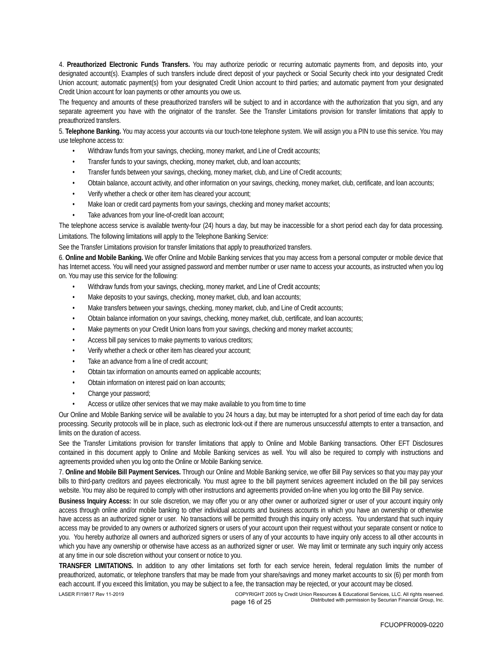4. **Preauthorized Electronic Funds Transfers.** You may authorize periodic or recurring automatic payments from, and deposits into, your designated account(s). Examples of such transfers include direct deposit of your paycheck or Social Security check into your designated Credit Union account; automatic payment(s) from your designated Credit Union account to third parties; and automatic payment from your designated Credit Union account for loan payments or other amounts you owe us.

The frequency and amounts of these preauthorized transfers will be subject to and in accordance with the authorization that you sign, and any separate agreement you have with the originator of the transfer. See the Transfer Limitations provision for transfer limitations that apply to preauthorized transfers.

5. **Telephone Banking.** You may access your accounts via our touch-tone telephone system. We will assign you a PIN to use this service. You may use telephone access to:

- Withdraw funds from your savings, checking, money market, and Line of Credit accounts;
- Transfer funds to your savings, checking, money market, club, and loan accounts;
- Transfer funds between your savings, checking, money market, club, and Line of Credit accounts;
- Obtain balance, account activity, and other information on your savings, checking, money market, club, certificate, and loan accounts;
- Verify whether a check or other item has cleared your account;
- Make loan or credit card payments from your savings, checking and money market accounts;
- Take advances from your line-of-credit loan account;

The telephone access service is available twenty-four (24) hours a day, but may be inaccessible for a short period each day for data processing. Limitations. The following limitations will apply to the Telephone Banking Service:

See the Transfer Limitations provision for transfer limitations that apply to preauthorized transfers.

6. **Online and Mobile Banking.** We offer Online and Mobile Banking services that you may access from a personal computer or mobile device that has Internet access. You will need your assigned password and member number or user name to access your accounts, as instructed when you log on. You may use this service for the following:

- Withdraw funds from your savings, checking, money market, and Line of Credit accounts;
- Make deposits to your savings, checking, money market, club, and loan accounts;
- Make transfers between your savings, checking, money market, club, and Line of Credit accounts;
- Obtain balance information on your savings, checking, money market, club, certificate, and loan accounts;
- Make payments on your Credit Union loans from your savings, checking and money market accounts;
- Access bill pay services to make payments to various creditors;
- Verify whether a check or other item has cleared your account;
- Take an advance from a line of credit account;
- Obtain tax information on amounts earned on applicable accounts;
- Obtain information on interest paid on loan accounts;
- Change your password;
- Access or utilize other services that we may make available to you from time to time

Our Online and Mobile Banking service will be available to you 24 hours a day, but may be interrupted for a short period of time each day for data processing. Security protocols will be in place, such as electronic lock-out if there are numerous unsuccessful attempts to enter a transaction, and limits on the duration of access.

See the Transfer Limitations provision for transfer limitations that apply to Online and Mobile Banking transactions. Other EFT Disclosures contained in this document apply to Online and Mobile Banking services as well. You will also be required to comply with instructions and agreements provided when you log onto the Online or Mobile Banking service.

7. **Online and Mobile Bill Payment Services.** Through our Online and Mobile Banking service, we offer Bill Pay services so that you may pay your bills to third-party creditors and payees electronically. You must agree to the bill payment services agreement included on the bill pay services website. You may also be required to comply with other instructions and agreements provided on-line when you log onto the Bill Pay service.

**Business Inquiry Access:** In our sole discretion, we may offer you or any other owner or authorized signer or user of your account inquiry only access through online and/or mobile banking to other individual accounts and business accounts in which you have an ownership or otherwise have access as an authorized signer or user. No transactions will be permitted through this inquiry only access. You understand that such inquiry access may be provided to any owners or authorized signers or users of your account upon their request without your separate consent or notice to you. You hereby authorize all owners and authorized signers or users of any of your accounts to have inquiry only access to all other accounts in which you have any ownership or otherwise have access as an authorized signer or user. We may limit or terminate any such inquiry only access at any time in our sole discretion without your consent or notice to you.

**TRANSFER LIMITATIONS.** In addition to any other limitations set forth for each service herein, federal regulation limits the number of preauthorized, automatic, or telephone transfers that may be made from your share/savings and money market accounts to six (6) per month from each account. If you exceed this limitation, you may be subject to a fee, the transaction may be rejected, or your account may be closed.

LASER FI19817 Rev 11-2019 COPYRIGHT 2005 by Credit Union Resources & Educational Services, LLC. All rights reserved. page 16 of 25 **Distributed with permission by Securian Financial Group**, Inc.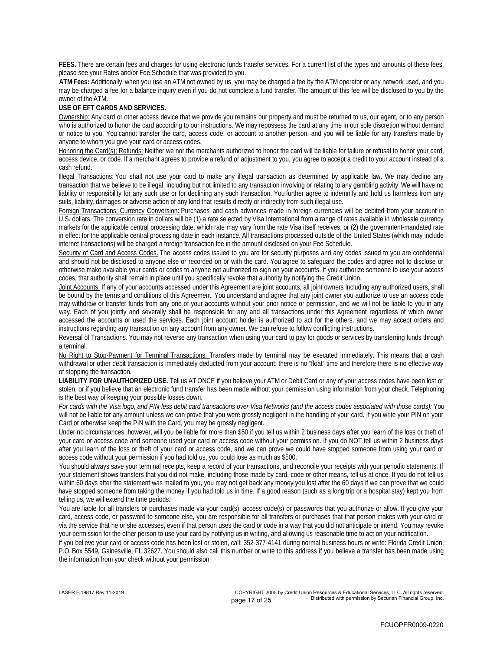**FEES.** There are certain fees and charges for using electronic funds transfer services. For a current list of the types and amounts of these fees, please see your Rates and/or Fee Schedule that was provided to you.

**ATM Fees:** Additionally, when you use an ATM not owned by us, you may be charged a fee by the ATM operator or any network used, and you may be charged a fee for a balance inquiry even if you do not complete a fund transfer. The amount of this fee will be disclosed to you by the owner of the ATM.

**USE OF EFT CARDS AND SERVICES.**

Ownership: Any card or other access device that we provide you remains our property and must be returned to us, our agent, or to any person who is authorized to honor the card according to our instructions. We may repossess the card at any time in our sole discretion without demand or notice to you. You cannot transfer the card, access code, or account to another person, and you will be liable for any transfers made by anyone to whom you give your card or access codes.

Honoring the Card(s); Refunds: Neither we nor the merchants authorized to honor the card will be liable for failure or refusal to honor your card, access device, or code. If a merchant agrees to provide a refund or adjustment to you, you agree to accept a credit to your account instead of a cash refund.

Illegal Transactions: You shall not use your card to make any illegal transaction as determined by applicable law. We may decline any transaction that we believe to be illegal, including but not limited to any transaction involving or relating to any gambling activity. We will have no liability or responsibility for any such use or for declining any such transaction. You further agree to indemnify and hold us harmless from any suits, liability, damages or adverse action of any kind that results directly or indirectly from such illegal use.

Foreign Transactions; Currency Conversion: Purchases and cash advances made in foreign currencies will be debited from your account in U.S. dollars. The conversion rate in dollars will be (1) a rate selected by Visa International from a range of rates available in wholesale currency markets for the applicable central processing date, which rate may vary from the rate Visa itself receives; or (2) the government-mandated rate in effect for the applicable central processing date in each instance. All transactions processed outside of the United States (which may include internet transactions) will be charged a foreign transaction fee in the amount disclosed on your Fee Schedule.

Security of Card and Access Codes. The access codes issued to you are for security purposes and any codes issued to you are confidential and should not be disclosed to anyone else or recorded on or with the card. You agree to safeguard the codes and agree not to disclose or otherwise make available your cards or codes to anyone not authorized to sign on your accounts. If you authorize someone to use your access codes, that authority shall remain in place until you specifically revoke that authority by notifying the Credit Union.

Joint Accounts. If any of your accounts accessed under this Agreement are joint accounts, all joint owners including any authorized users, shall be bound by the terms and conditions of this Agreement. You understand and agree that any joint owner you authorize to use an access code may withdraw or transfer funds from any one of your accounts without your prior notice or permission, and we will not be liable to you in any way. Each of you jointly and severally shall be responsible for any and all transactions under this Agreement regardless of which owner accessed the accounts or used the services. Each joint account holder is authorized to act for the others, and we may accept orders and instructions regarding any transaction on any account from any owner. We can refuse to follow conflicting instructions.

Reversal of Transactions. You may not reverse any transaction when using your card to pay for goods or services by transferring funds through a terminal.

No Right to Stop-Payment for Terminal Transactions. Transfers made by terminal may be executed immediately. This means that a cash withdrawal or other debit transaction is immediately deducted from your account; there is no "float" time and therefore there is no effective way of stopping the transaction.

**LIABILITY FOR UNAUTHORIZED USE.** Tell us AT ONCE if you believe your ATM or Debit Card or any of your access codes have been lost or stolen, or if you believe that an electronic fund transfer has been made without your permission using information from your check. Telephoning is the best way of keeping your possible losses down.

*For cards with the Visa logo, and PIN-less debit card transactions over Visa Networks (and the access codes associated with those cards):* You will not be liable for any amount unless we can prove that you were grossly negligent in the handling of your card. If you write your PIN on your Card or otherwise keep the PIN with the Card, you may be grossly negligent.

Under no circumstances, however, will you be liable for more than \$50 if you tell us within 2 business days after you learn of the loss or theft of your card or access code and someone used your card or access code without your permission. If you do NOT tell us within 2 business days after you learn of the loss or theft of your card or access code, and we can prove we could have stopped someone from using your card or access code without your permission if you had told us, you could lose as much as \$500.

You should always save your terminal receipts, keep a record of your transactions, and reconcile your receipts with your periodic statements. If your statement shows transfers that you did not make, including those made by card, code or other means, tell us at once. If you do not tell us within 60 days after the statement was mailed to you, you may not get back any money you lost after the 60 days if we can prove that we could have stopped someone from taking the money if you had told us in time. If a good reason (such as a long trip or a hospital stay) kept you from telling us, we will extend the time periods.

You are liable for all transfers or purchases made via your card(s), access code(s) or passwords that you authorize or allow. If you give your card, access code, or password to someone else, you are responsible for all transfers or purchases that that person makes with your card or via the service that he or she accesses, even if that person uses the card or code in a way that you did not anticipate or intend. You may revoke your permission for the other person to use your card by notifying us in writing, and allowing us reasonable time to act on your notification.

If you believe your card or access code has been lost or stolen, call: 352-377-4141 during normal business hours or write: Florida Credit Union, P.O. Box 5549, Gainesville, FL 32627. You should also call this number or write to this address if you believe a transfer has been made using the information from your check without your permission.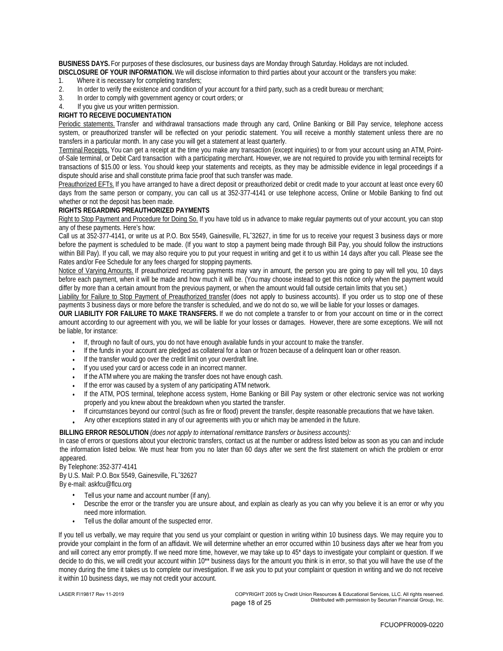**BUSINESS DAYS.** For purposes of these disclosures, our business days are Monday through Saturday. Holidays are not included. **DISCLOSURE OF YOUR INFORMATION.** We will disclose information to third parties about your account or the transfers you make:

- 1. Where it is necessary for completing transfers;
- 2. In order to verify the existence and condition of your account for a third party, such as a credit bureau or merchant;
- 3. In order to comply with government agency or court orders; or
- 4. If you give us your written permission.
- **RIGHT TO RECEIVE DOCUMENTATION**

Periodic statements. Transfer and withdrawal transactions made through any card, Online Banking or Bill Pay service, telephone access system, or preauthorized transfer will be reflected on your periodic statement. You will receive a monthly statement unless there are no transfers in a particular month. In any case you will get a statement at least quarterly.

Terminal Receipts. You can get a receipt at the time you make any transaction (except inquiries) to or from your account using an ATM, Pointof-Sale terminal, or Debit Card transaction with a participating merchant. However, we are not required to provide you with terminal receipts for transactions of \$15.00 or less. You should keep your statements and receipts, as they may be admissible evidence in legal proceedings if a dispute should arise and shall constitute prima facie proof that such transfer was made.

Preauthorized EFTs. If you have arranged to have a direct deposit or preauthorized debit or credit made to your account at least once every 60 days from the same person or company, you can call us at 352-377-4141 or use telephone access, Online or Mobile Banking to find out whether or not the deposit has been made.

### **RIGHTS REGARDING PREAUTHORIZED PAYMENTS**

Right to Stop Payment and Procedure for Doing So. If you have told us in advance to make regular payments out of your account, you can stop any of these payments. Here's how:

Call us at 352-377-4141, or write us at P.O. Box 5549, Gainesville, FLˆ32627, in time for us to receive your request 3 business days or more before the payment is scheduled to be made. (If you want to stop a payment being made through Bill Pay, you should follow the instructions within Bill Pay). If you call, we may also require you to put your request in writing and get it to us within 14 days after you call. Please see the Rates and/or Fee Schedule for any fees charged for stopping payments.

Notice of Varying Amounts. If preauthorized recurring payments may vary in amount, the person you are going to pay will tell you, 10 days before each payment, when it will be made and how much it will be. (You may choose instead to get this notice only when the payment would differ by more than a certain amount from the previous payment, or when the amount would fall outside certain limits that you set.)

Liability for Failure to Stop Payment of Preauthorized transfer (does not apply to business accounts). If you order us to stop one of these payments 3 business days or more before the transfer is scheduled, and we do not do so, we will be liable for your losses or damages.

**OUR LIABILITY FOR FAILURE TO MAKE TRANSFERS.** If we do not complete a transfer to or from your account on time or in the correct amount according to our agreement with you, we will be liable for your losses or damages. However, there are some exceptions. We will not be liable, for instance:

- If, through no fault of ours, you do not have enough available funds in your account to make the transfer. •
- If the funds in your account are pledged as collateral for a loan or frozen because of a delinquent loan or other reason. •
- If the transfer would go over the credit limit on your overdraft line. •
- If you used your card or access code in an incorrect manner. •
- If the ATM where you are making the transfer does not have enough cash. •
- If the error was caused by a system of any participating ATM network. •
- If the ATM, POS terminal, telephone access system, Home Banking or Bill Pay system or other electronic service was not working properly and you knew about the breakdown when you started the transfer. •
- If circumstances beyond our control (such as fire or flood) prevent the transfer, despite reasonable precautions that we have taken. Any other exceptions stated in any of our agreements with you or which may be amended in the future. •
- •

**BILLING ERROR RESOLUTION** *(does not apply to international remittance transfers or business accounts):*

In case of errors or questions about your electronic transfers, contact us at the number or address listed below as soon as you can and include the information listed below. We must hear from you no later than 60 days after we sent the first statement on which the problem or error appeared.

### By Telephone: 352-377-4141

By U.S. Mail: P.O. Box 5549, Gainesville, FLˆ32627 By e-mail: askfcu@flcu.org

- Tell us your name and account number (if any). •
	- Describe the error or the transfer you are unsure about, and explain as clearly as you can why you believe it is an error or why you need more information. •
- Tell us the dollar amount of the suspected error. •

If you tell us verbally, we may require that you send us your complaint or question in writing within 10 business days. We may require you to provide your complaint in the form of an affidavit. We will determine whether an error occurred within 10 business days after we hear from you and will correct any error promptly. If we need more time, however, we may take up to 45\* days to investigate your complaint or question. If we decide to do this, we will credit your account within 10\*\* business days for the amount you think is in error, so that you will have the use of the money during the time it takes us to complete our investigation. If we ask you to put your complaint or question in writing and we do not receive it within 10 business days, we may not credit your account.

LASER FI19817 Rev 11-2019 COPYRIGHT 2005 by Credit Union Resources & Educational Services, LLC. All rights reserved. page 18 of 25 Distributed with permission by Securian Financial Group, Inc.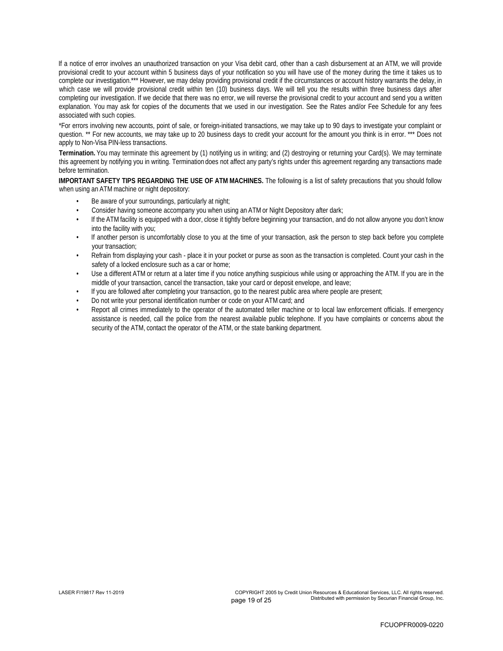If a notice of error involves an unauthorized transaction on your Visa debit card, other than a cash disbursement at an ATM, we will provide provisional credit to your account within 5 business days of your notification so you will have use of the money during the time it takes us to complete our investigation.\*\*\* However, we may delay providing provisional credit if the circumstances or account history warrants the delay, in which case we will provide provisional credit within ten (10) business days. We will tell you the results within three business days after completing our investigation. If we decide that there was no error, we will reverse the provisional credit to your account and send you a written explanation. You may ask for copies of the documents that we used in our investigation. See the Rates and/or Fee Schedule for any fees associated with such copies.

\*For errors involving new accounts, point of sale, or foreign-initiated transactions, we may take up to 90 days to investigate your complaint or question. \*\* For new accounts, we may take up to 20 business days to credit your account for the amount you think is in error. \*\*\* Does not apply to Non-Visa PIN-less transactions.

**Termination.** You may terminate this agreement by (1) notifying us in writing; and (2) destroying or returning your Card(s). We may terminate this agreement by notifying you in writing. Termination does not affect any party's rights under this agreement regarding any transactions made before termination.

**IMPORTANT SAFETY TIPS REGARDING THE USE OF ATM MACHINES.** The following is a list of safety precautions that you should follow when using an ATM machine or night depository:

- Be aware of your surroundings, particularly at night; •
- Consider having someone accompany you when using an ATM or Night Depository after dark; •
- If the ATM facility is equipped with a door, close it tightly before beginning your transaction, and do not allow anyone you don't know into the facility with you; •
- If another person is uncomfortably close to you at the time of your transaction, ask the person to step back before you complete your transaction; •
- Refrain from displaying your cash place it in your pocket or purse as soon as the transaction is completed. Count your cash in the safety of a locked enclosure such as a car or home; •
- Use a different ATM or return at a later time if you notice anything suspicious while using or approaching the ATM. If you are in the middle of your transaction, cancel the transaction, take your card or deposit envelope, and leave; •
- If you are followed after completing your transaction, go to the nearest public area where people are present; •
- Do not write your personal identification number or code on your ATM card; and •
- Report all crimes immediately to the operator of the automated teller machine or to local law enforcement officials. If emergency assistance is needed, call the police from the nearest available public telephone. If you have complaints or concerns about the security of the ATM, contact the operator of the ATM, or the state banking department. •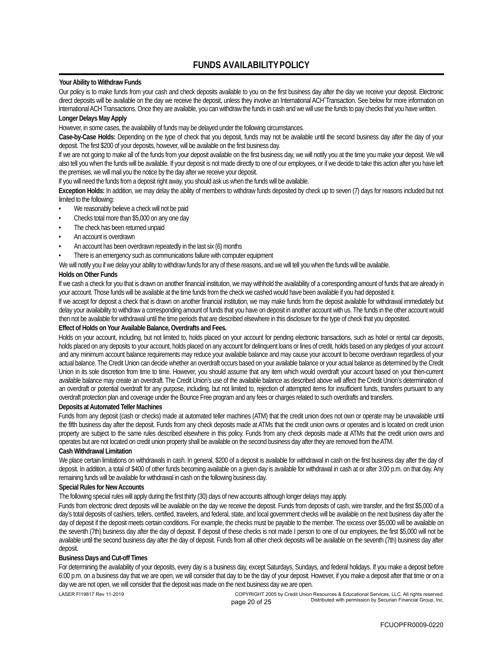## **FUNDS AVAILABILITY POLICY**

**Your Ability to Withdraw Funds**

Our policy is to make funds from your cash and check deposits available to you on the first business day after the day we receive your deposit. Electronic direct deposits will be available on the day we receive the deposit, unless they involve an International ACH<sup>-</sup>Transaction. See below for more information on International ACH Transactions. Once they are available, you can withdraw the funds in cash and we will use the funds to pay checks that you have written. **Longer Delays May Apply**

However, in some cases, the availability of funds may be delayed under the following circumstances.

**Case-by-Case Holds:** Depending on the type of check that you deposit, funds may not be available until the second business day after the day of your deposit. The first \$200 of your deposits, however, will be available on the first business day.

If we are not going to make all of the funds from your deposit available on the first business day, we will notify you at the time you make your deposit. We will also tell you when the funds will be available. If your deposit is not made directly to one of our employees, or if we decide to take this action after you have left the premises, we will mail you the notice by the day after we receive your deposit.

If you will need the funds from a deposit right away, you should ask us when the funds will be available.

**Exception Holds:** In addition, we may delay the ability of members to withdraw funds deposited by check up to seven (7) days for reasons included but not limited to the following:

- We reasonably believe a check will not be paid
- Checks total more than \$5,000 on any one day
- The check has been returned unpaid
- An account is overdrawn
- An account has been overdrawn repeatedly in the last six (6) months

There is an emergency such as communications failure with computer equipment

We will notify you if we delay your ability to withdraw funds for any of these reasons, and we will tell you when the funds will be available.

### **Holds on Other Funds**

If we cash a check for you that is drawn on another financial institution, we may withhold the availability of a corresponding amount of funds that are already in your account. Those funds will be available at the time funds from the check we cashed would have been available if you had deposited it.

If we accept for deposit a check that is drawn on another financial institution, we may make funds from the deposit available for withdrawal immediately but delay your availability to withdraw a corresponding amount of funds that you have on deposit in another account with us. The funds in the other account would then not be available for withdrawal until the time periods that are described elsewhere in this disclosure for the type of check that you deposited. **Effect of Holds on Your Available Balance, Overdrafts and Fees.**

Holds on your account, including, but not limited to, holds placed on your account for pending electronic transactions, such as hotel or rental car deposits, holds placed on any deposits to your account, holds placed on any account for delinquent loans or lines of credit, holds based on any pledges of your account and any minimum account balance requirements may reduce your available balance and may cause your account to become overdrawn regardless of your actual balance. The Credit Union can decide whether an overdraft occurs based on your available balance or your actual balance as determined by the Credit Union in its sole discretion from time to time. However, you should assume that any item which would overdraft your account based on your then-current available balance may create an overdraft. The Credit Union's use of the available balance as described above will affect the Credit Union's determination of an overdraft or potential overdraft for any purpose, including, but not limited to, rejection of attempted items for insufficient funds, transfers pursuant to any overdraft protection plan and coverage under the Bounce Free program and any fees or charges related to such overdrafts and transfers. **Deposits at Automated Teller Machines**

Funds from any deposit (cash or checks) made at automated teller machines (ATM) that the credit union does not own or operate may be unavailable until the fifth business day after the deposit. Funds from any check deposits made at ATMs that the credit union owns or operates and is located on credit union property are subject to the same rules described elsewhere in this policy. Funds from any check deposits made at ATMs that the credit union owns and operates but are not located on credit union property shall be available on the second business day after they are removed from the ATM. **Cash Withdrawal Limitation**

We place certain limitations on withdrawals in cash. In general, \$200 of a deposit is available for withdrawal in cash on the first business day after the day of deposit. In addition, a total of \$400 of other funds becoming available on a given day is available for withdrawal in cash at or after 3:00 p.m. on that day. Any remaining funds will be available for withdrawal in cash on the following business day.

**Special Rules for New Accounts**

The following special rules will apply during the first thirty (30) days of new accounts although longer delays may apply.

Funds from electronic direct deposits will be available on the day we receive the deposit. Funds from deposits of cash, wire transfer, and the first \$5,000 of a day's total deposits of cashiers, tellers, certified, travelers, and federal, state, and local government checks will be available on the next business day after the day of deposit if the deposit meets certain conditions. For example, the checks must be payable to the member. The excess over \$5,000 will be available on the seventh (7th) business day after the day of deposit. If deposit of these checks is not made I person to one of our employees, the first \$5,000 will not be available until the second business day after the day of deposit. Funds from all other check deposits will be available on the seventh (7th) business day after deposit.

### **Business Days and Cut-off Times**

For determining the availability of your deposits, every day is a business day, except Saturdays, Sundays, and federal holidays. If you make a deposit before 6:00 p.m. on a business day that we are open, we will consider that day to be the day of your deposit. However, if you make a deposit after that time or on a day we are not open, we will consider that the deposit was made on the next business day we are open.

LASER FI19817 Rev 11-2019 COPYRIGHT 2005 by Credit Union Resources & Educational Services, LLC. All rights reserved. page 20 of 25 **Distributed with permission by Securian Financial Group**, Inc.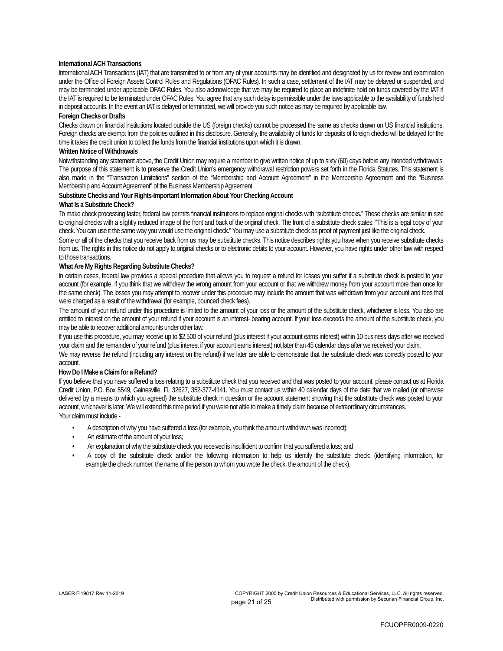### **International ACH Transactions**

International ACH Transactions (IAT) that are transmitted to or from any of your accounts may be identified and designated by us for review and examination under the Office of Foreign Assets Control Rules and Regulations (OFAC Rules). In such a case, settlement of the IAT may be delayed or suspended, and may be terminated under applicable OFAC Rules. You also acknowledge that we may be required to place an indefinite hold on funds covered by the IAT if the IAT is required to be terminated under OFAC Rules. You agree that any such delay is permissible under the laws applicable to the availability of funds held in deposit accounts. In the event an IAT is delayed or terminated, we will provide you such notice as may be required by applicable law.

### **Foreign Checks or Drafts**

Checks drawn on financial institutions located outside the US (foreign checks) cannot be processed the same as checks drawn on US financial institutions. Foreign checks are exempt from the policies outlined in this disclosure. Generally, the availability of funds for deposits of foreign checks will be delayed for the time it takes the credit union to collect the funds from the financial institutions upon which it is drawn.

### **Written Notice of Withdrawals**

Notwithstanding any statement above, the Credit Union may require a member to give written notice of up to sixty (60) days before any intended withdrawals. The purpose of this statement is to preserve the Credit Union's emergency withdrawal restriction powers set forth in the Florida Statutes. This statement is also made in the "Transaction Limitations" section of the "Membership and Account Agreement" in the Membership Agreement and the "Business Membership and Account Agreement" of the Business Membership Agreement.

**Substitute Checks and Your Rights-Important Information About Your Checking Account**

### **What Is a Substitute Check?**

To make check processing faster, federal law permits financial institutions to replace original checks with "substitute checks." These checks are similar in size to original checks with a slightly reduced image of the front and back of the original check. The front of a substitute check states: "This is a legal copy of your check. You can use it the same way you would use the original check." You may use a substitute check as proof of payment just like the original check.

Some or all of the checks that you receive back from us may be substitute checks. This notice describes rights you have when you receive substitute checks from us. The rights in this notice do not apply to original checks or to electronic debits to your account. However, you have rights under other law with respect to those transactions.

### **What Are My Rights Regarding Substitute Checks?**

In certain cases, federal law provides a special procedure that allows you to request a refund for losses you suffer if a substitute check is posted to your account (for example, if you think that we withdrew the wrong amount from your account or that we withdrew money from your account more than once for the same check). The losses you may attempt to recover under this procedure may include the amount that was withdrawn from your account and fees that were charged as a result of the withdrawal (for example, bounced check fees).

The amount of your refund under this procedure is limited to the amount of your loss or the amount of the substitute check, whichever is less. You also are entitled to interest on the amount of your refund if your account is an interest- bearing account. If your loss exceeds the amount of the substitute check, you may be able to recover additional amounts under other law.

If you use this procedure, you may receive up to \$2,500 of your refund (plus interest if your account earns interest) within 10 business days after we received your claim and the remainder of your refund (plus interest if your account earns interest) not later than 45 calendar days after we received your claim.

We may reverse the refund (including any interest on the refund) if we later are able to demonstrate that the substitute check was correctly posted to your account.

### **How Do I Make a Claim for a Refund?**

If you believe that you have suffered a loss relating to a substitute check that you received and that was posted to your account, please contact us at Florida Credit Union, P.O. Box 5549, Gainesville, FL 32627, 352-377-4141. You must contact us within 40 calendar days of the date that we mailed (or otherwise delivered by a means to which you agreed) the substitute check in question or the account statement showing that the substitute check was posted to your account, whichever is later. We will extend this time period if you were not able to make a timely claim because of extraordinary circumstances. Your claim must include -

- A description of why you have suffered a loss (for example, you think the amount withdrawn was incorrect);
- An estimate of the amount of your loss;
- An explanation of why the substitute check you received is insufficient to confirm that you suffered a loss; and
- A copy of the substitute check and/or the following information to help us identify the substitute check: (identifying information, for example the check number, the name of the person to whom you wrote the check, the amount of the check).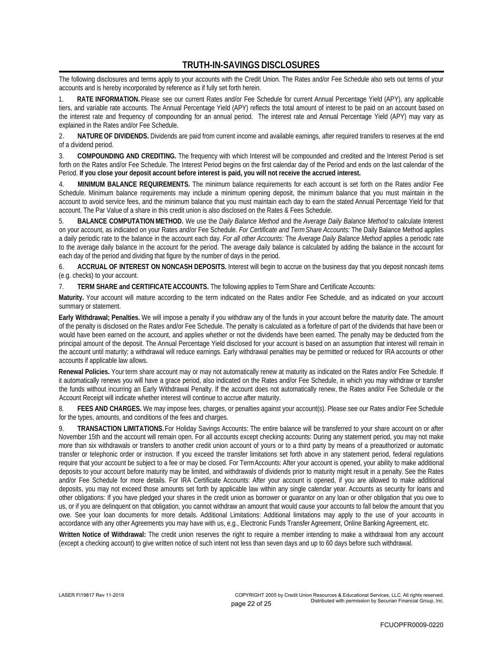## **TRUTH-IN-SAVINGS DISCLOSURES**

The following disclosures and terms apply to your accounts with the Credit Union. The Rates and/or Fee Schedule also sets out terms of your accounts and is hereby incorporated by reference as if fully set forth herein.

RATE INFORMATION. Please see our current Rates and/or Fee Schedule for current Annual Percentage Yield (APY), any applicable tiers, and variable rate accounts. The Annual Percentage Yield (APY) reflects the total amount of interest to be paid on an account based on the interest rate and frequency of compounding for an annual period. The interest rate and Annual Percentage Yield (APY) may vary as explained in the Rates and/or Fee Schedule.

2. NATURE OF DIVIDENDS. Dividends are paid from current income and available earnings, after required transfers to reserves at the end of a dividend period.

3. **COMPOUNDING AND CREDITING.** The frequency with which Interest will be compounded and credited and the Interest Period is set forth on the Rates and/or Fee Schedule. The Interest Period begins on the first calendar day of the Period and ends on the last calendar of the Period. **If you close your deposit account before interest is paid, you will not receive the accrued interest.**

4. **MINIMUM BALANCE REQUIREMENTS.** The minimum balance requirements for each account is set forth on the Rates and/or Fee Schedule. Minimum balance requirements may include a minimum opening deposit, the minimum balance that you must maintain in the account to avoid service fees, and the minimum balance that you must maintain each day to earn the stated Annual Percentage Yield for that account. The Par Value of a share in this credit union is also disclosed on the Rates & Fees Schedule.

5. **BALANCE COMPUTATION METHOD.** We use the *Daily Balance Method* and the *Average Daily Balance Method* to calculate Interest on your account, as indicated on your Rates and/or Fee Schedule. *For Certificate and Term Share Accounts:* The Daily Balance Method applies a daily periodic rate to the balance in the account each day. *For all other Accounts:* The *Average Daily Balance Method* applies a periodic rate to the average daily balance in the account for the period. The average daily balance is calculated by adding the balance in the account for each day of the period and dividing that figure by the number of days in the period.

6. **ACCRUAL OF INTEREST ON NONCASH DEPOSITS.** Interest will begin to accrue on the business day that you deposit noncash items (e.g. checks) to your account.

7. **TERM SHARE and CERTIFICATE ACCOUNTS.** The following applies to Term Share and Certificate Accounts:

**Maturity.** Your account will mature according to the term indicated on the Rates and/or Fee Schedule, and as indicated on your account summary or statement.

**Early Withdrawal; Penalties.** We will impose a penalty if you withdraw any of the funds in your account before the maturity date. The amount of the penalty is disclosed on the Rates and/or Fee Schedule. The penalty is calculated as a forfeiture of part of the dividends that have been or would have been earned on the account, and applies whether or not the dividends have been earned. The penalty may be deducted from the principal amount of the deposit. The Annual Percentage Yield disclosed for your account is based on an assumption that interest will remain in the account until maturity; a withdrawal will reduce earnings. Early withdrawal penalties may be permitted or reduced for IRA accounts or other accounts if applicable law allows.

**Renewal Policies.** Your term share account may or may not automatically renew at maturity as indicated on the Rates and/or Fee Schedule. If it automatically renews you will have a grace period, also indicated on the Rates and/or Fee Schedule, in which you may withdraw or transfer the funds without incurring an Early Withdrawal Penalty. If the account does not automatically renew, the Rates and/or Fee Schedule or the Account Receipt will indicate whether interest will continue to accrue after maturity.

8. FEES AND CHARGES. We may impose fees, charges, or penalties against your account(s). Please see our Rates and/or Fee Schedule for the types, amounts, and conditions of the fees and charges.

9. TRANSACTION LIMITATIONS. For Holiday Savings Accounts: The entire balance will be transferred to your share account on or after November 15th and the account will remain open. For all accounts except checking accounts: During any statement period, you may not make more than six withdrawals or transfers to another credit union account of yours or to a third party by means of a preauthorized or automatic transfer or telephonic order or instruction. If you exceed the transfer limitations set forth above in any statement period, federal regulations require that your account be subject to a fee or may be closed. For Term Accounts: After your account is opened, your ability to make additional deposits to your account before maturity may be limited, and withdrawals of dividends prior to maturity might result in a penalty. See the Rates and/or Fee Schedule for more details. For IRA Certificate Accounts: After your account is opened, if you are allowed to make additional deposits, you may not exceed those amounts set forth by applicable law within any single calendar year. Accounts as security for loans and other obligations: If you have pledged your shares in the credit union as borrower or guarantor on any loan or other obligation that you owe to us, or if you are delinquent on that obligation, you cannot withdraw an amount that would cause your accounts to fall below the amount that you owe. See your loan documents for more details. Additional Limitations: Additional limitations may apply to the use of your accounts in accordance with any other Agreements you may have with us, e.g., Electronic Funds Transfer Agreement, Online Banking Agreement, etc.

**Written Notice of Withdrawal:** The credit union reserves the right to require a member intending to make a withdrawal from any account (except a checking account) to give written notice of such intent not less than seven days and up to 60 days before such withdrawal.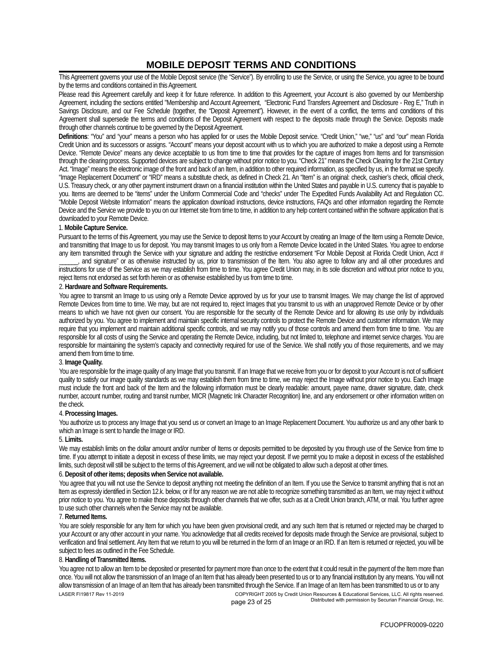## **MOBILE DEPOSIT TERMS AND CONDITIONS**

This Agreement governs your use of the Mobile Deposit service (the "Service"). By enrolling to use the Service, or using the Service, you agree to be bound by the terms and conditions contained in this Agreement.

Please read this Agreement carefully and keep it for future reference. In addition to this Agreement, your Account is also governed by our Membership Agreement, including the sections entitled "Membership and Account Agreement, "Electronic Fund Transfers Agreement and Disclosure - Reg E," Truth in Savings Disclosure, and our Fee Schedule (together, the "Deposit Agreement"). However, in the event of a conflict, the terms and conditions of this Agreement shall supersede the terms and conditions of the Deposit Agreement with respect to the deposits made through the Service. Deposits made through other channels continue to be governed by the Deposit Agreement.

**Definitions**: "You" and "your" means a person who has applied for or uses the Mobile Deposit service. "Credit Union," "we," "us" and "our" mean Florida Credit Union and its successors or assigns. "Account" means your deposit account with us to which you are authorized to make a deposit using a Remote Device. "Remote Device" means any device acceptable to us from time to time that provides for the capture of images from Items and for transmission through the clearing process. Supported devices are subject to change without prior notice to you. "Check 21" means the Check Clearing for the 21st Century Act. "Image" means the electronic image of the front and back of an Item, in addition to other required information, as specified by us, in the format we specify. "Image Replacement Document" or "IRD" means a substitute check, as defined in Check 21. An "Item" is an original: check, cashier's check, official check, U.S. Treasury check, or any other payment instrument drawn on a financial institution within the United States and payable in U.S. currency that is payable to you. Items are deemed to be "items" under the Uniform Commercial Code and "checks" under The Expedited Funds Availability Act and Regulation CC. "Mobile Deposit Website Information" means the application download instructions, device instructions, FAQs and other information regarding the Remote Device and the Service we provide to you on our Internet site from time to time, in addition to any help content contained within the software application that is downloaded to your Remote Device.

### 1. **Mobile Capture Service.**

Pursuant to the terms of this Agreement, you may use the Service to deposit Items to your Account by creating an Image of the Item using a Remote Device, and transmitting that Image to us for deposit. You may transmit Images to us only from a Remote Device located in the United States. You agree to endorse any item transmitted through the Service with your signature and adding the restrictive endorsement "For Mobile Deposit at Florida Credit Union, Acct #

and signature" or as otherwise instructed by us, prior to transmission of the Item. You also agree to follow any and all other procedures and instructions for use of the Service as we may establish from time to time. You agree Credit Union may, in its sole discretion and without prior notice to you, reject Items not endorsed as set forth herein or as otherwise established by us from time to time.

2. **Hardware and Software Requirements.**

You agree to transmit an Image to us using only a Remote Device approved by us for your use to transmit Images. We may change the list of approved Remote Devices from time to time. We may, but are not required to, reject Images that you transmit to us with an unapproved Remote Device or by other means to which we have not given our consent. You are responsible for the security of the Remote Device and for allowing its use only by individuals authorized by you. You agree to implement and maintain specific internal security controls to protect the Remote Device and customer information. We may require that you implement and maintain additional specific controls, and we may notify you of those controls and amend them from time to time. You are responsible for all costs of using the Service and operating the Remote Device, including, but not limited to, telephone and internet service charges. You are responsible for maintaining the system's capacity and connectivity required for use of the Service. We shall notify you of those requirements, and we may amend them from time to time.

### 3. **Image Quality.**

You are responsible for the image quality of any Image that you transmit. If an Image that we receive from you or for deposit to your Account is not of sufficient quality to satisfy our image quality standards as we may establish them from time to time, we may reject the Image without prior notice to you. Each Image must include the front and back of the Item and the following information must be clearly readable: amount, payee name, drawer signature, date, check number, account number, routing and transit number, MICR (Magnetic Ink Character Recognition) line, and any endorsement or other information written on the check.

### 4. **Processing Images.**

You authorize us to process any Image that you send us or convert an Image to an Image Replacement Document. You authorize us and any other bank to which an Image is sent to handle the Image or IRD.

### 5. **Limits.**

We may establish limits on the dollar amount and/or number of Items or deposits permitted to be deposited by you through use of the Service from time to time. If you attempt to initiate a deposit in excess of these limits, we may reject your deposit. If we permit you to make a deposit in excess of the established limits, such deposit will still be subject to the terms of this Agreement, and we will not be obligated to allow such a deposit at other times.

### 6. **Deposit of other items; deposits when Service not available.**

You agree that you will not use the Service to deposit anything not meeting the definition of an Item. If you use the Service to transmit anything that is not an Item as expressly identified in Section 12.k. below, or if for any reason we are not able to recognize something transmitted as an Item, we may reject it without prior notice to you. You agree to make those deposits through other channels that we offer, such as at a Credit Union branch, ATM, or mail. You further agree to use such other channels when the Service may not be available.

### 7. **Returned Items.**

You are solely responsible for any Item for which you have been given provisional credit, and any such Item that is returned or rejected may be charged to your Account or any other account in your name. You acknowledge that all credits received for deposits made through the Service are provisional, subject to verification and final settlement. Any Item that we return to you will be returned in the form of an Image or an IRD. If an Item is returned or rejected, you will be subject to fees as outlined in the Fee Schedule.

### 8. **Handling of Transmitted Items.**

You agree not to allow an Item to be deposited or presented for payment more than once to the extent that it could result in the payment of the Item more than once. You will not allow the transmission of an Image of an Item that has already been presented to us or to any financial institution by any means. You will not allow transmission of an Image of an Item that has already been transmitted through the Service. If an Image of an Item has been transmitted to us or to any LASER FI19817 Rev 11-2019 COPYRIGHT 2005 by Credit Union Resources & Educational Services, LLC. All rights reserved.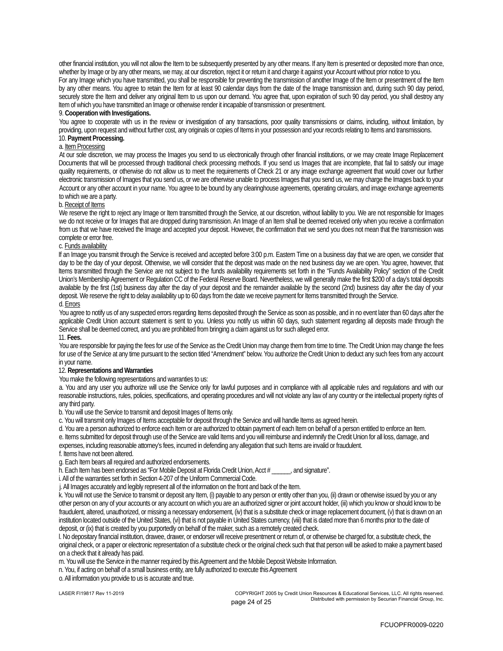other financial institution, you will not allow the Item to be subsequently presented by any other means. If any Item is presented or deposited more than once, whether by Image or by any other means, we may, at our discretion, reject it or return it and charge it against your Account without prior notice to you. For any Image which you have transmitted, you shall be responsible for preventing the transmission of another Image of the Item or presentment of the Item by any other means. You agree to retain the Item for at least 90 calendar days from the date of the Image transmission and, during such 90 day period, securely store the Item and deliver any original Item to us upon our demand. You agree that, upon expiration of such 90 day period, you shall destroy any Item of which you have transmitted an Image or otherwise render it incapable of transmission or presentment. 9. **Cooperation with Investigations.**

You agree to cooperate with us in the review or investigation of any transactions, poor quality transmissions or claims, including, without limitation, by providing, upon request and without further cost, any originals or copies of Items in your possession and your records relating to Items and transmissions. 10. **Payment Processing.**

### a. Item Processing

At our sole discretion, we may process the Images you send to us electronically through other financial institutions, or we may create Image Replacement Documents that will be processed through traditional check processing methods. If you send us Images that are incomplete, that fail to satisfy our image quality requirements, or otherwise do not allow us to meet the requirements of Check 21 or any image exchange agreement that would cover our further electronic transmission of Images that you send us, or we are otherwise unable to process Images that you send us, we may charge the Images back to your Account or any other account in your name. You agree to be bound by any clearinghouse agreements, operating circulars, and image exchange agreements to which we are a party.

### b. Receipt of Items

We reserve the right to reject any Image or Item transmitted through the Service, at our discretion, without liability to you. We are not responsible for Images we do not receive or for Images that are dropped during transmission. An Image of an Item shall be deemed received only when you receive a confirmation from us that we have received the Image and accepted your deposit. However, the confirmation that we send you does not mean that the transmission was complete or error free.

### c. **Funds availability**

If an Image you transmit through the Service is received and accepted before 3:00 p.m. Eastern Time on a business day that we are open, we consider that day to be the day of your deposit. Otherwise, we will consider that the deposit was made on the next business day we are open. You agree, however, that Items transmitted through the Service are not subject to the funds availability requirements set forth in the "Funds Availability Policy" section of the Credit Union's Membership Agreement or Regulation CC of the Federal Reserve Board. Nevertheless, we will generally make the first \$200 of a day's total deposits available by the first (1st) business day after the day of your deposit and the remainder available by the second (2nd) business day after the day of your deposit. We reserve the right to delay availability up to 60 days from the date we receive payment for Items transmitted through the Service. d. Errors

You agree to notify us of any suspected errors regarding Items deposited through the Service as soon as possible, and in no event later than 60 days after the applicable Credit Union account statement is sent to you. Unless you notify us within 60 days, such statement regarding all deposits made through the Service shall be deemed correct, and you are prohibited from bringing a claim against us for such alleged error.

### 11. **Fees.**

You are responsible for paying the fees for use of the Service as the Credit Union may change them from time to time. The Credit Union may change the fees for use of the Service at any time pursuant to the section titled "Amendment" below. You authorize the Credit Union to deduct any such fees from any account in your name.

### 12. **Representations and Warranties**

You make the following representations and warranties to us:

a. You and any user you authorize will use the Service only for lawful purposes and in compliance with all applicable rules and regulations and with our reasonable instructions, rules, policies, specifications, and operating procedures and will not violate any law of any country or the intellectual property rights of any third party.

b. You will use the Service to transmit and deposit Images of Items only.

c. You will transmit only Images of Items acceptable for deposit through the Service and will handle Items as agreed herein.

d. You are a person authorized to enforce each Item or are authorized to obtain payment of each Item on behalf of a person entitled to enforce an Item.

e. Items submitted for deposit through use of the Service are valid Items and you will reimburse and indemnify the Credit Union for all loss, damage, and expenses, including reasonable attorney's fees, incurred in defending any allegation that such Items are invalid or fraudulent.

f. Items have not been altered.

g. Each Item bears all required and authorized endorsements.

h. Each Item has been endorsed as "For Mobile Deposit at Florida Credit Union, Acct # \_\_\_\_\_\_, and signature".

i. All of the warranties set forth in Section 4-207 of the Uniform Commercial Code.

j. All Images accurately and legibly represent all of the information on the front and back of the Item.

k. You will not use the Service to transmit or deposit any Item, (i) payable to any person or entity other than you, (ii) drawn or otherwise issued by you or any other person on any of your accounts or any account on which you are an authorized signer or joint account holder, (iii) which you know or should know to be fraudulent, altered, unauthorized, or missing a necessary endorsement, (iv) that is a substitute check or image replacement document, (v) that is drawn on an institution located outside of the United States, (vi) that is not payable in United States currency, (viii) that is dated more than 6 months prior to the date of deposit, or (ix) that is created by you purportedly on behalf of the maker, such as a remotely created check.

l. No depositary financial institution, drawee, drawer, or endorser will receive presentment or return of, or otherwise be charged for, a substitute check, the original check, or a paper or electronic representation of a substitute check or the original check such that that person will be asked to make a payment based on a check that it already has paid.

m. You will use the Service in the manner required by this Agreement and the Mobile Deposit Website Information.

n. You, if acting on behalf of a small business entity, are fully authorized to execute this Agreement

o. All information you provide to us is accurate and true.

LASER FI19817 Rev 11-2019 COPYRIGHT 2005 by Credit Union Resources & Educational Services, LLC. All rights reserved.<br>. page 24 of 25 Distributed with permission by Securian Financial Group, Inc.